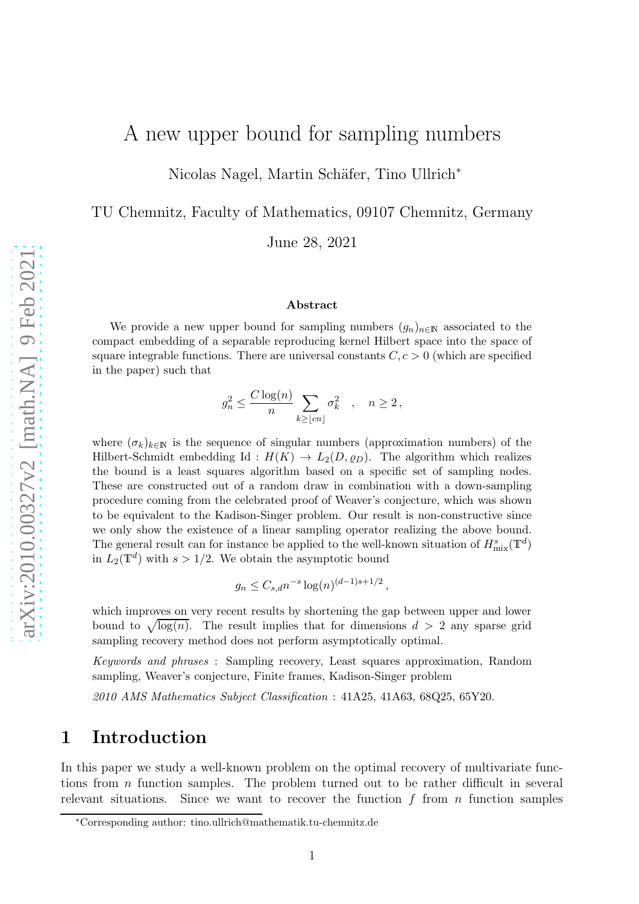# A new upper bound for sampling numbers

Nicolas Nagel, Martin Schäfer, Tino Ullrich<sup>∗</sup>

TU Chemnitz, Faculty of Mathematics, 09107 Chemnitz, Germany

June 28, 2021

#### Abstract

We provide a new upper bound for sampling numbers  $(g_n)_{n\in\mathbb{N}}$  associated to the compact embedding of a separable reproducing kernel Hilbert space into the space of square integrable functions. There are universal constants  $C, c > 0$  (which are specified in the paper) such that

$$
g_n^2 \le \frac{C \log(n)}{n} \sum_{k \ge \lfloor cn \rfloor} \sigma_k^2 \quad , \quad n \ge 2 \,,
$$

where  $(\sigma_k)_{k\in\mathbb{N}}$  is the sequence of singular numbers (approximation numbers) of the Hilbert-Schmidt embedding Id :  $H(K) \to L_2(D, \rho_D)$ . The algorithm which realizes the bound is a least squares algorithm based on a specific set of sampling nodes. These are constructed out of a random draw in combination with a down-sampling procedure coming from the celebrated proof of Weaver's conjecture, which was shown to be equivalent to the Kadison-Singer problem. Our result is non-constructive since we only show the existence of a linear sampling operator realizing the above bound. The general result can for instance be applied to the well-known situation of  $H^s_{\text{mix}}(\mathbb{T}^d)$ in  $L_2(\mathbb{T}^d)$  with  $s > 1/2$ . We obtain the asymptotic bound

$$
g_n \leq C_{s,d} n^{-s} \log(n)^{(d-1)s+1/2}
$$
,

which improves on very recent results by shortening the gap between upper and lower bound to  $\sqrt{\log(n)}$ . The result implies that for dimensions  $d > 2$  any sparse grid sampling recovery method does not perform asymptotically optimal.

Keywords and phrases : Sampling recovery, Least squares approximation, Random sampling, Weaver's conjecture, Finite frames, Kadison-Singer problem

2010 AMS Mathematics Subject Classification : 41A25, 41A63, 68Q25, 65Y20.

### 1 Introduction

In this paper we study a well-known problem on the optimal recovery of multivariate functions from  $n$  function samples. The problem turned out to be rather difficult in several relevant situations. Since we want to recover the function  $f$  from  $n$  function samples

<sup>∗</sup>Corresponding author: tino.ullrich@mathematik.tu-chemnitz.de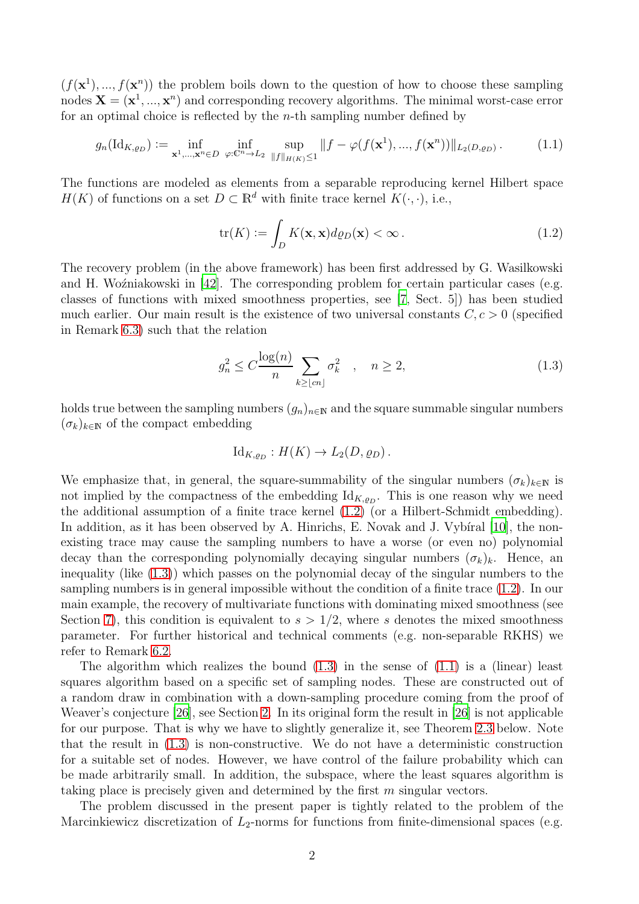$(f(\mathbf{x}^1),..., f(\mathbf{x}^n))$  the problem boils down to the question of how to choose these sampling nodes  $\mathbf{X} = (\mathbf{x}^1, ..., \mathbf{x}^n)$  and corresponding recovery algorithms. The minimal worst-case error for an optimal choice is reflected by the  $n$ -th sampling number defined by

$$
g_n(\mathrm{Id}_{K,g_D}) := \inf_{\mathbf{x}^1, \dots, \mathbf{x}^n \in D} \inf_{\varphi: \mathbb{C}^n \to L_2} \sup_{\|f\|_{H(K)} \le 1} \|f - \varphi(f(\mathbf{x}^1), ..., f(\mathbf{x}^n))\|_{L_2(D,g_D)}.
$$
 (1.1)

The functions are modeled as elements from a separable reproducing kernel Hilbert space  $H(K)$  of functions on a set  $D \subset \mathbb{R}^d$  with finite trace kernel  $K(\cdot, \cdot)$ , i.e.,

<span id="page-1-2"></span><span id="page-1-0"></span>
$$
\text{tr}(K) := \int_{D} K(\mathbf{x}, \mathbf{x}) d\varrho_{D}(\mathbf{x}) < \infty \,. \tag{1.2}
$$

The recovery problem (in the above framework) has been first addressed by G. Wasilkowski and H. Woźniakowski in  $[42]$ . The corresponding problem for certain particular cases (e.g. classes of functions with mixed smoothness properties, see [\[7,](#page-18-0) Sect. 5]) has been studied much earlier. Our main result is the existence of two universal constants  $C, c > 0$  (specified in Remark [6.3\)](#page-13-0) such that the relation

<span id="page-1-1"></span>
$$
g_n^2 \le C \frac{\log(n)}{n} \sum_{k \ge \lfloor cn \rfloor} \sigma_k^2 \quad , \quad n \ge 2,
$$
\n(1.3)

holds true between the sampling numbers  $(g_n)_{n\in\mathbb{N}}$  and the square summable singular numbers  $(\sigma_k)_{k\in\mathbb{N}}$  of the compact embedding

$$
\mathrm{Id}_{K,\varrho_D}: H(K) \to L_2(D,\varrho_D).
$$

We emphasize that, in general, the square-summability of the singular numbers  $(\sigma_k)_{k\in\mathbb{N}}$  is not implied by the compactness of the embedding  $Id_{K,\varrho_D}$ . This is one reason why we need the additional assumption of a finite trace kernel [\(1.2\)](#page-1-0) (or a Hilbert-Schmidt embedding). In addition, as it has been observed by A. Hinrichs, E. Novak and J. Vybiral  $[10]$ , the nonexisting trace may cause the sampling numbers to have a worse (or even no) polynomial decay than the corresponding polynomially decaying singular numbers  $(\sigma_k)_k$ . Hence, an inequality (like [\(1.3\)](#page-1-1)) which passes on the polynomial decay of the singular numbers to the sampling numbers is in general impossible without the condition of a finite trace [\(1.2\)](#page-1-0). In our main example, the recovery of multivariate functions with dominating mixed smoothness (see Section [7\)](#page-15-0), this condition is equivalent to  $s > 1/2$ , where s denotes the mixed smoothness parameter. For further historical and technical comments (e.g. non-separable RKHS) we refer to Remark [6.2.](#page-12-0)

The algorithm which realizes the bound  $(1.3)$  in the sense of  $(1.1)$  is a (linear) least squares algorithm based on a specific set of sampling nodes. These are constructed out of a random draw in combination with a down-sampling procedure coming from the proof of Weaver's conjecture [\[26\]](#page-19-1), see Section [2.](#page-3-0) In its original form the result in [\[26](#page-19-1)] is not applicable for our purpose. That is why we have to slightly generalize it, see Theorem [2.3](#page-4-0) below. Note that the result in [\(1.3\)](#page-1-1) is non-constructive. We do not have a deterministic construction for a suitable set of nodes. However, we have control of the failure probability which can be made arbitrarily small. In addition, the subspace, where the least squares algorithm is taking place is precisely given and determined by the first m singular vectors.

The problem discussed in the present paper is tightly related to the problem of the Marcinkiewicz discretization of  $L_2$ -norms for functions from finite-dimensional spaces (e.g.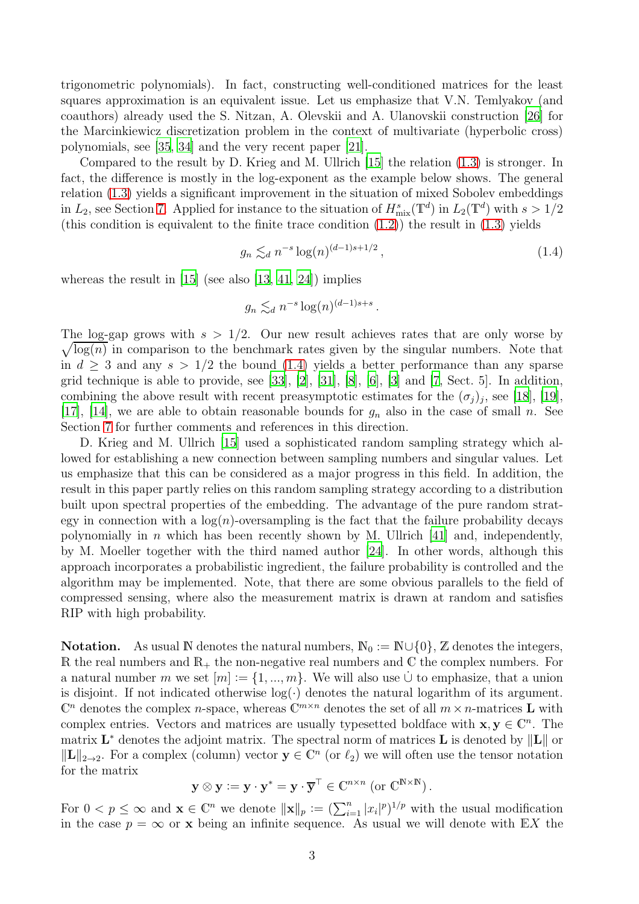trigonometric polynomials). In fact, constructing well-conditioned matrices for the least squares approximation is an equivalent issue. Let us emphasize that V.N. Temlyakov (and coauthors) already used the S. Nitzan, A. Olevskii and A. Ulanovskii construction [\[26\]](#page-19-1) for the Marcinkiewicz discretization problem in the context of multivariate (hyperbolic cross) polynomials, see [\[35,](#page-19-2) [34\]](#page-19-3) and the very recent paper [\[21](#page-18-2)].

Compared to the result by D. Krieg and M. Ullrich [\[15](#page-18-3)] the relation [\(1.3\)](#page-1-1) is stronger. In fact, the difference is mostly in the log-exponent as the example below shows. The general relation [\(1.3\)](#page-1-1) yields a significant improvement in the situation of mixed Sobolev embeddings in  $L_2$ , see Section [7.](#page-15-0) Applied for instance to the situation of  $H_{\text{mix}}^s(\mathbb{T}^d)$  in  $L_2(\mathbb{T}^d)$  with  $s > 1/2$ (this condition is equivalent to the finite trace condition  $(1.2)$ ) the result in  $(1.3)$  yields

<span id="page-2-0"></span>
$$
g_n \lesssim_d n^{-s} \log(n)^{(d-1)s+1/2}, \tag{1.4}
$$

whereas the result in  $[15]$  (see also  $[13, 41, 24]$  $[13, 41, 24]$  $[13, 41, 24]$  $[13, 41, 24]$  $[13, 41, 24]$ ) implies

$$
g_n \lesssim_d n^{-s} \log(n)^{(d-1)s+s}.
$$

The log-gap grows with  $s > 1/2$ . Our new result achieves rates that are only worse by  $\sqrt{\log(n)}$  in comparison to the benchmark rates given by the singular numbers. Note that in  $d \geq 3$  and any  $s > 1/2$  the bound [\(1.4\)](#page-2-0) yields a better performance than any sparse grid technique is able to provide, see [\[33\]](#page-19-6), [\[2\]](#page-18-5), [\[31](#page-19-7)], [\[8](#page-18-6)], [\[6](#page-18-7)], [\[3\]](#page-18-8) and [\[7](#page-18-0), Sect. 5]. In addition, combining the above result with recent preasymptotic estimates for the  $(\sigma_j)_j$ , see [\[18](#page-18-9)], [\[19\]](#page-18-10), [\[17\]](#page-18-11), [\[14\]](#page-18-12), we are able to obtain reasonable bounds for  $g_n$  also in the case of small n. See Section [7](#page-15-0) for further comments and references in this direction.

D. Krieg and M. Ullrich [\[15](#page-18-3)] used a sophisticated random sampling strategy which allowed for establishing a new connection between sampling numbers and singular values. Let us emphasize that this can be considered as a major progress in this field. In addition, the result in this paper partly relies on this random sampling strategy according to a distribution built upon spectral properties of the embedding. The advantage of the pure random strategy in connection with a  $log(n)$ -oversampling is the fact that the failure probability decays polynomially in *n* which has been recently shown by M. Ullrich [\[41](#page-19-4)] and, independently, by M. Moeller together with the third named author [\[24](#page-19-5)]. In other words, although this approach incorporates a probabilistic ingredient, the failure probability is controlled and the algorithm may be implemented. Note, that there are some obvious parallels to the field of compressed sensing, where also the measurement matrix is drawn at random and satisfies RIP with high probability.

**Notation.** As usual N denotes the natural numbers,  $\mathbb{N}_0 := \mathbb{N} \cup \{0\}$ , Z denotes the integers, R the real numbers and  $\mathbb{R}_+$  the non-negative real numbers and C the complex numbers. For a natural number m we set  $[m] := \{1, ..., m\}$ . We will also use ∪ to emphasize, that a union is disjoint. If not indicated otherwise  $log(\cdot)$  denotes the natural logarithm of its argument.  $\mathbb{C}^n$  denotes the complex *n*-space, whereas  $\mathbb{C}^{m \times n}$  denotes the set of all  $m \times n$ -matrices **L** with complex entries. Vectors and matrices are usually typesetted boldface with  $\mathbf{x}, \mathbf{y} \in \mathbb{C}^n$ . The matrix  $\mathbf{L}^*$  denotes the adjoint matrix. The spectral norm of matrices  $\mathbf{L}$  is denoted by  $\|\mathbf{L}\|$  or  $||L||_{2\to 2}$ . For a complex (column) vector  $y \in \mathbb{C}^n$  (or  $\ell_2$ ) we will often use the tensor notation for the matrix

$$
\mathbf{y} \otimes \mathbf{y} := \mathbf{y} \cdot \mathbf{y}^* = \mathbf{y} \cdot \overline{\mathbf{y}}^\top \in \mathbb{C}^{n \times n} \text{ (or } \mathbb{C}^{\mathbb{N} \times \mathbb{N}} \text{)}.
$$

For  $0 < p \le \infty$  and  $\mathbf{x} \in \mathbb{C}^n$  we denote  $\|\mathbf{x}\|_p := (\sum_{i=1}^n |x_i|^p)^{1/p}$  with the usual modification in the case  $p = \infty$  or x being an infinite sequence. As usual we will denote with  $\mathbb{E}X$  the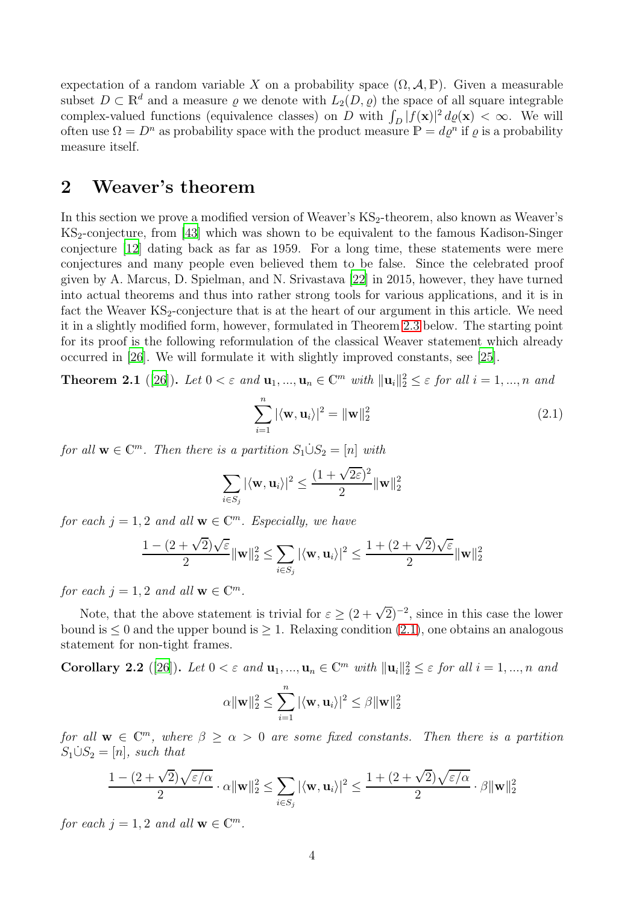expectation of a random variable X on a probability space  $(\Omega, \mathcal{A}, \mathbb{P})$ . Given a measurable subset  $D \subset \mathbb{R}^d$  and a measure  $\varrho$  we denote with  $L_2(D, \varrho)$  the space of all square integrable complex-valued functions (equivalence classes) on D with  $\int_D |f(\mathbf{x})|^2 d\varrho(\mathbf{x}) < \infty$ . We will often use  $\Omega = D^n$  as probability space with the product measure  $\mathbb{P} = d\varrho^n$  if  $\varrho$  is a probability measure itself.

## <span id="page-3-0"></span>2 Weaver's theorem

In this section we prove a modified version of Weaver's KS<sub>2</sub>-theorem, also known as Weaver's  $KS_2$ -conjecture, from [\[43\]](#page-20-0) which was shown to be equivalent to the famous Kadison-Singer conjecture [\[12](#page-18-13)] dating back as far as 1959. For a long time, these statements were mere conjectures and many people even believed them to be false. Since the celebrated proof given by A. Marcus, D. Spielman, and N. Srivastava [\[22\]](#page-19-8) in 2015, however, they have turned into actual theorems and thus into rather strong tools for various applications, and it is in fact the Weaver  $KS_2$ -conjecture that is at the heart of our argument in this article. We need it in a slightly modified form, however, formulated in Theorem [2.3](#page-4-0) below. The starting point for its proof is the following reformulation of the classical Weaver statement which already occurred in [\[26](#page-19-1)]. We will formulate it with slightly improved constants, see [\[25](#page-19-9)].

**Theorem 2.1** ([\[26\]](#page-19-1)). Let  $0 < \varepsilon$  and  $\mathbf{u}_1, ..., \mathbf{u}_n \in \mathbb{C}^m$  with  $\|\mathbf{u}_i\|_2^2 \leq \varepsilon$  for all  $i = 1, ..., n$  and

<span id="page-3-1"></span>
$$
\sum_{i=1}^{n} |\langle \mathbf{w}, \mathbf{u}_i \rangle|^2 = ||\mathbf{w}||_2^2
$$
 (2.1)

*for all*  $\mathbf{w} \in \mathbb{C}^m$ . Then there is a partition  $S_1 \dot{\cup} S_2 = [n]$  *with* 

$$
\sum_{i \in S_j} |\langle \mathbf{w}, \mathbf{u}_i \rangle|^2 \leq \frac{(1 + \sqrt{2\varepsilon})^2}{2} \|\mathbf{w}\|_2^2
$$

*for each*  $j = 1, 2$  *and all*  $\mathbf{w} \in \mathbb{C}^m$ *. Especially, we have* 

$$
\frac{1-(2+\sqrt{2})\sqrt{\varepsilon}}{2}\|\mathbf{w}\|_2^2 \leq \sum_{i \in S_j} |\langle \mathbf{w}, \mathbf{u}_i\rangle|^2 \leq \frac{1+(2+\sqrt{2})\sqrt{\varepsilon}}{2}\|\mathbf{w}\|_2^2
$$

*for each*  $j = 1, 2$  *and all*  $\mathbf{w} \in \mathbb{C}^m$ *.* 

Note, that the above statement is trivial for  $\varepsilon \geq (2+\sqrt{2})^{-2}$ , since in this case the lower bound is  $\leq 0$  and the upper bound is  $\geq 1$ . Relaxing condition [\(2.1\)](#page-3-1), one obtains an analogous statement for non-tight frames.

<span id="page-3-2"></span>Corollary 2.2 ([\[26\]](#page-19-1)). Let  $0 < \varepsilon$  and  $\mathbf{u}_1, ..., \mathbf{u}_n \in \mathbb{C}^m$  with  $\|\mathbf{u}_i\|_2^2 \leq \varepsilon$  for all  $i = 1, ..., n$  and

$$
\alpha \|\mathbf{w}\|_2^2 \le \sum_{i=1}^n |\langle \mathbf{w}, \mathbf{u}_i\rangle|^2 \le \beta \|\mathbf{w}\|_2^2
$$

*for all*  $\mathbf{w} \in \mathbb{C}^m$ , where  $\beta \geq \alpha > 0$  *are some fixed constants. Then there is a partition*  $S_1 \dot{\cup} S_2 = [n]$ , such that

$$
\frac{1-(2+\sqrt{2})\sqrt{\varepsilon/\alpha}}{2}\cdot\alpha\|\mathbf{w}\|_2^2\leq\sum_{i\in S_j}|\langle\mathbf{w},\mathbf{u}_i\rangle|^2\leq\frac{1+(2+\sqrt{2})\sqrt{\varepsilon/\alpha}}{2}\cdot\beta\|\mathbf{w}\|_2^2
$$

*for each*  $j = 1, 2$  *and all*  $\mathbf{w} \in \mathbb{C}^m$ *.*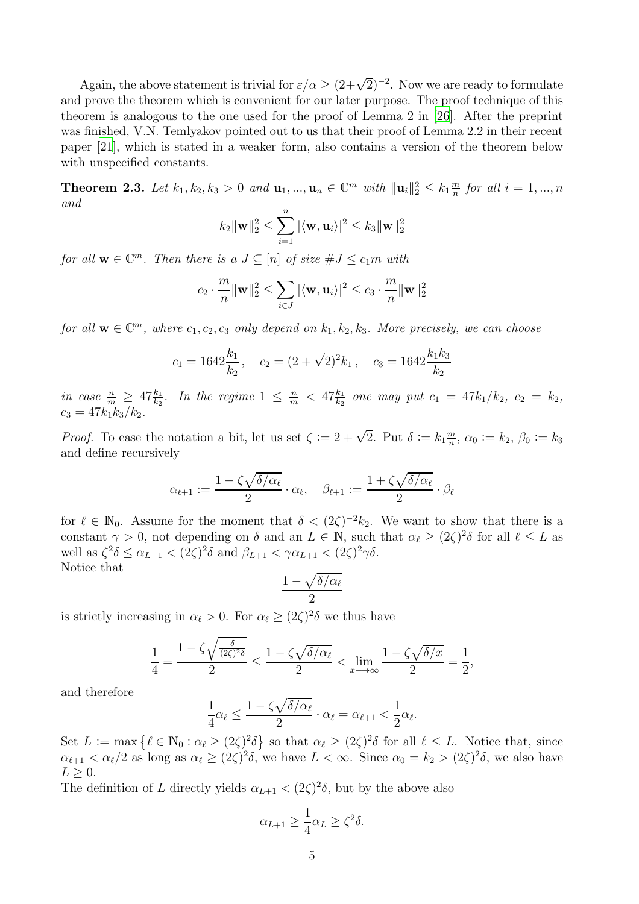Again, the above statement is trivial for  $\varepsilon/\alpha \geq (2+\sqrt{2})^{-2}$ . Now we are ready to formulate and prove the theorem which is convenient for our later purpose. The proof technique of this theorem is analogous to the one used for the proof of Lemma 2 in [\[26\]](#page-19-1). After the preprint was finished, V.N. Temlyakov pointed out to us that their proof of Lemma 2.2 in their recent paper [\[21\]](#page-18-2), which is stated in a weaker form, also contains a version of the theorem below with unspecified constants.

<span id="page-4-0"></span>**Theorem 2.3.** Let  $k_1, k_2, k_3 > 0$  and  $\mathbf{u}_1, ..., \mathbf{u}_n \in \mathbb{C}^m$  with  $\|\mathbf{u}_i\|_2^2 \leq k_1 \frac{m}{n}$  $\frac{m}{n}$  for all  $i = 1, ..., n$ *and*  $\boldsymbol{n}$ 

$$
k_2 \|\mathbf{w}\|_2^2 \le \sum_{i=1}^n |\langle \mathbf{w}, \mathbf{u}_i \rangle|^2 \le k_3 \|\mathbf{w}\|_2^2
$$

*for all*  $\mathbf{w} \in \mathbb{C}^m$ *. Then there is a*  $J \subseteq [n]$  *of size*  $\#J \leq c_1m$  *with* 

$$
c_2 \cdot \frac{m}{n} ||\mathbf{w}||_2^2 \le \sum_{i \in J} |\langle \mathbf{w}, \mathbf{u}_i \rangle|^2 \le c_3 \cdot \frac{m}{n} ||\mathbf{w}||_2^2
$$

*for all*  $\mathbf{w} \in \mathbb{C}^m$ , where  $c_1, c_2, c_3$  *only depend on*  $k_1, k_2, k_3$ *. More precisely, we can choose* 

$$
c_1 = 1642 \frac{k_1}{k_2}
$$
,  $c_2 = (2 + \sqrt{2})^2 k_1$ ,  $c_3 = 1642 \frac{k_1 k_3}{k_2}$ 

*in case*  $\frac{n}{m} \geq 47 \frac{k_1}{k_2}$ . In the regime  $1 \leq \frac{n}{m} < 47 \frac{k_1}{k_2}$  one may put  $c_1 = 47 k_1/k_2$ ,  $c_2 = k_2$ ,  $c_3 = 47k_1k_3/k_2.$ 

*Proof.* To ease the notation a bit, let us set  $\zeta := 2 + \sqrt{2}$ . Put  $\delta := k_1 \frac{m}{n}$  $\frac{m}{n}$ ,  $\alpha_0 := k_2$ ,  $\beta_0 := k_3$ and define recursively

$$
\alpha_{\ell+1}:=\frac{1-\zeta\sqrt{\delta/\alpha_\ell}}{2}\cdot \alpha_\ell, \quad \beta_{\ell+1}:=\frac{1+\zeta\sqrt{\delta/\alpha_\ell}}{2}\cdot \beta_\ell
$$

for  $\ell \in \mathbb{N}_0$ . Assume for the moment that  $\delta < (2\zeta)^{-2}k_2$ . We want to show that there is a constant  $\gamma > 0$ , not depending on  $\delta$  and an  $L \in \mathbb{N}$ , such that  $\alpha_{\ell} \geq (2\zeta)^2 \delta$  for all  $\ell \leq L$  as well as  $\zeta^2 \delta \leq \alpha_{L+1} < (2\zeta)^2 \delta$  and  $\beta_{L+1} < \gamma \alpha_{L+1} < (2\zeta)^2 \gamma \delta$ . Notice that

$$
\frac{1-\sqrt{\delta/\alpha_\ell}}{2}
$$

is strictly increasing in  $\alpha_{\ell} > 0$ . For  $\alpha_{\ell} \ge (2\zeta)^2 \delta$  we thus have

$$
\frac{1}{4} = \frac{1 - \zeta \sqrt{\frac{\delta}{(2\zeta)^2 \delta}}}{2} \le \frac{1 - \zeta \sqrt{\delta/\alpha_{\ell}}}{2} < \lim_{x \to \infty} \frac{1 - \zeta \sqrt{\delta/x}}{2} = \frac{1}{2},
$$

and therefore

$$
\frac{1}{4}\alpha_\ell \leq \frac{1-\zeta\sqrt{\delta/\alpha_\ell}}{2}\cdot \alpha_\ell = \alpha_{\ell+1} < \frac{1}{2}\alpha_\ell.
$$

Set  $L := \max \{ \ell \in \mathbb{N}_0 : \alpha_{\ell} \ge (2\zeta)^2 \delta \}$  so that  $\alpha_{\ell} \ge (2\zeta)^2 \delta$  for all  $\ell \le L$ . Notice that, since  $\alpha_{\ell+1} < \alpha_{\ell}/2$  as long as  $\alpha_{\ell} \ge (2\zeta)^2 \delta$ , we have  $L < \infty$ . Since  $\alpha_0 = k_2 > (2\zeta)^2 \delta$ , we also have  $L > 0$ .

The definition of L directly yields  $\alpha_{L+1} < (2\zeta)^2 \delta$ , but by the above also

$$
\alpha_{L+1} \ge \frac{1}{4} \alpha_L \ge \zeta^2 \delta.
$$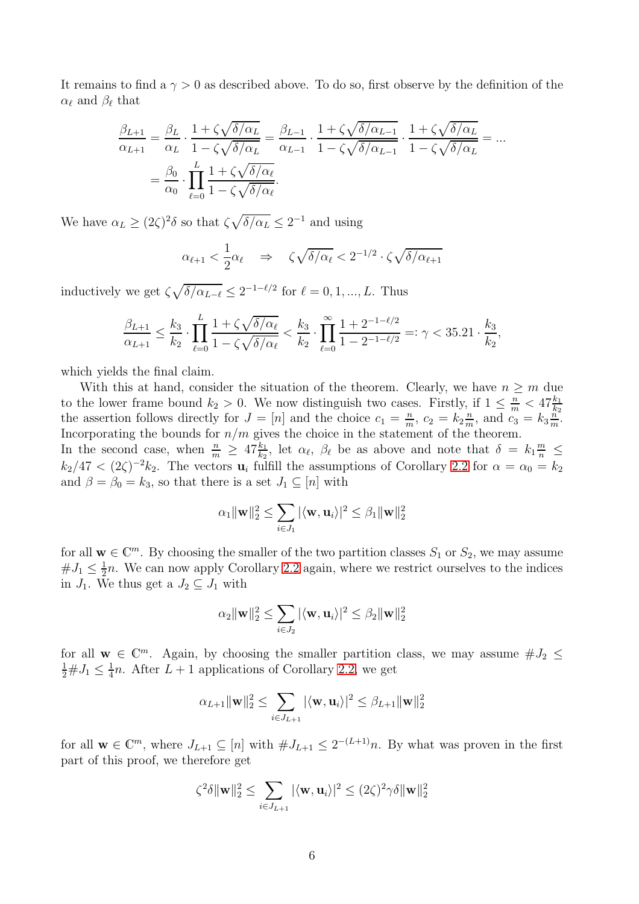It remains to find a  $\gamma > 0$  as described above. To do so, first observe by the definition of the  $\alpha_{\ell}$  and  $\beta_{\ell}$  that

$$
\frac{\beta_{L+1}}{\alpha_{L+1}} = \frac{\beta_L}{\alpha_L} \cdot \frac{1 + \zeta \sqrt{\delta/\alpha_L}}{1 - \zeta \sqrt{\delta/\alpha_L}} = \frac{\beta_{L-1}}{\alpha_{L-1}} \cdot \frac{1 + \zeta \sqrt{\delta/\alpha_{L-1}}}{1 - \zeta \sqrt{\delta/\alpha_{L-1}}} \cdot \frac{1 + \zeta \sqrt{\delta/\alpha_L}}{1 - \zeta \sqrt{\delta/\alpha_L}} = \dots
$$

$$
= \frac{\beta_0}{\alpha_0} \cdot \prod_{\ell=0}^{L} \frac{1 + \zeta \sqrt{\delta/\alpha_\ell}}{1 - \zeta \sqrt{\delta/\alpha_\ell}}.
$$

We have  $\alpha_L \geq (2\zeta)^2 \delta$  so that  $\zeta \sqrt{\delta/\alpha_L} \leq 2^{-1}$  and using

$$
\alpha_{\ell+1} < \frac{1}{2}\alpha_{\ell} \quad \Rightarrow \quad \zeta\sqrt{\delta/\alpha_{\ell}} < 2^{-1/2} \cdot \zeta\sqrt{\delta/\alpha_{\ell+1}}
$$

inductively we get  $\zeta \sqrt{\delta/\alpha_{L-\ell}} \leq 2^{-1-\ell/2}$  for  $\ell = 0, 1, ..., L$ . Thus

$$
\frac{\beta_{L+1}}{\alpha_{L+1}} \le \frac{k_3}{k_2} \cdot \prod_{\ell=0}^{L} \frac{1 + \zeta \sqrt{\delta/\alpha_{\ell}}}{1 - \zeta \sqrt{\delta/\alpha_{\ell}}} < \frac{k_3}{k_2} \cdot \prod_{\ell=0}^{\infty} \frac{1 + 2^{-1 - \ell/2}}{1 - 2^{-1 - \ell/2}} =: \gamma < 35.21 \cdot \frac{k_3}{k_2},
$$

which yields the final claim.

With this at hand, consider the situation of the theorem. Clearly, we have  $n \geq m$  due to the lower frame bound  $k_2 > 0$ . We now distinguish two cases. Firstly, if  $1 \leq \frac{n}{m} < 47 \frac{k_1}{k_2}$ the assertion follows directly for  $J = [n]$  and the choice  $c_1 = \frac{n}{m}$  $\frac{n}{m}$ ,  $c_2 = k_2 \frac{n}{m}$  $\frac{n}{m}$ , and  $\overline{c_3} = k_3 \frac{n}{m}$  $\frac{n}{m}$ . Incorporating the bounds for  $n/m$  gives the choice in the statement of the theorem.

In the second case, when  $\frac{n}{m} \geq 47 \frac{k_1}{k_2}$ , let  $\alpha_\ell$ ,  $\beta_\ell$  be as above and note that  $\delta = k_1 \frac{m}{n} \leq$  $k_2/47 < (2\zeta)^{-2}k_2$ . The vectors  $\mathbf{u}_i$  fulfill the assumptions of Corollary [2.2](#page-3-2) for  $\alpha = \alpha_0 = k_2$ and  $\beta = \beta_0 = k_3$ , so that there is a set  $J_1 \subseteq [n]$  with

$$
\alpha_1 \|\mathbf{w}\|_2^2 \leq \sum_{i \in J_1} |\langle \mathbf{w}, \mathbf{u}_i\rangle|^2 \leq \beta_1 \|\mathbf{w}\|_2^2
$$

for all  $\mathbf{w} \in \mathbb{C}^m$ . By choosing the smaller of the two partition classes  $S_1$  or  $S_2$ , we may assume  $#J_1 \leq \frac{1}{2}$  $\frac{1}{2}n$ . We can now apply Corollary [2.2](#page-3-2) again, where we restrict ourselves to the indices in  $J_1$ . We thus get a  $J_2 \subseteq J_1$  with

$$
\alpha_2 \|\mathbf{w}\|_2^2 \leq \sum_{i \in J_2} |\langle \mathbf{w}, \mathbf{u}_i\rangle|^2 \leq \beta_2 \|\mathbf{w}\|_2^2
$$

for all  $\mathbf{w} \in \mathbb{C}^m$ . Again, by choosing the smaller partition class, we may assume  $\#J_2 \leq$  $\frac{1}{2} \# J_1 \leq \frac{1}{4}$  $\frac{1}{4}n$ . After  $L+1$  applications of Corollary [2.2,](#page-3-2) we get

$$
\alpha_{L+1} \|\mathbf{w}\|_{2}^{2} \leq \sum_{i \in J_{L+1}} |\langle \mathbf{w}, \mathbf{u}_{i} \rangle|^{2} \leq \beta_{L+1} \|\mathbf{w}\|_{2}^{2}
$$

for all  $\mathbf{w} \in \mathbb{C}^m$ , where  $J_{L+1} \subseteq [n]$  with  $\# J_{L+1} \leq 2^{-(L+1)}n$ . By what was proven in the first part of this proof, we therefore get

$$
\zeta^2 \delta \|\mathbf{w}\|_2^2 \leq \sum_{i \in J_{L+1}} |\langle \mathbf{w}, \mathbf{u}_i \rangle|^2 \leq (2\zeta)^2 \gamma \delta \|\mathbf{w}\|_2^2
$$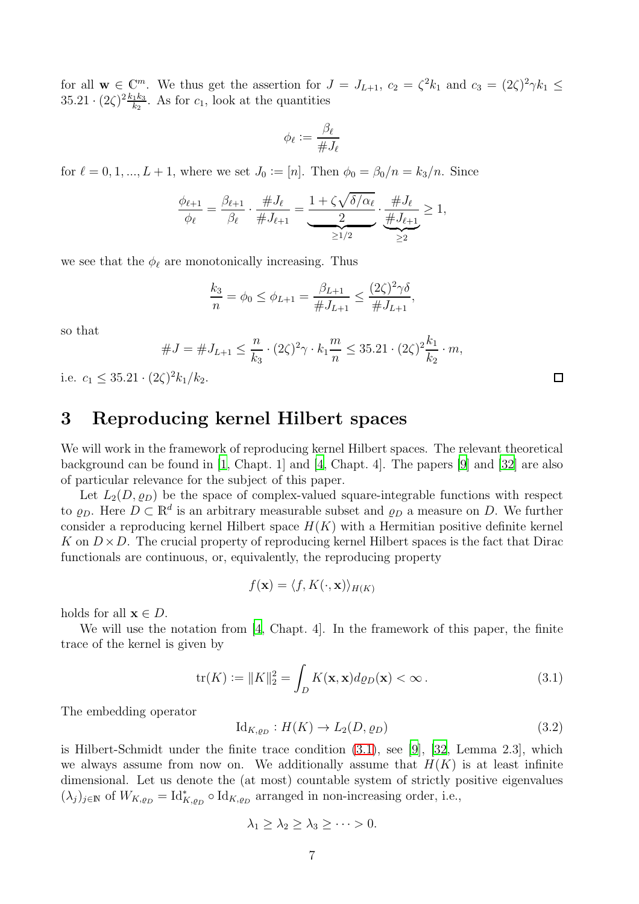for all  $\mathbf{w} \in \mathbb{C}^m$ . We thus get the assertion for  $J = J_{L+1}$ ,  $c_2 = \zeta^2 k_1$  and  $c_3 = (2\zeta)^2 \gamma k_1 \leq$  $35.21 \cdot (2\zeta)^2 \frac{k_1 k_3}{k_2}$  $\frac{1}{k_2}$ . As for  $c_1$ , look at the quantities

$$
\phi_\ell := \frac{\beta_\ell}{\# J_\ell}
$$

for  $\ell = 0, 1, ..., L + 1$ , where we set  $J_0 := [n]$ . Then  $\phi_0 = \beta_0/n = k_3/n$ . Since

$$
\frac{\phi_{\ell+1}}{\phi_{\ell}} = \frac{\beta_{\ell+1}}{\beta_{\ell}} \cdot \frac{\#J_{\ell}}{\#J_{\ell+1}} = \underbrace{\frac{1+\zeta\sqrt{\delta/\alpha_{\ell}}}{2}}_{\geq 1/2} \cdot \underbrace{\frac{\#J_{\ell}}{\#J_{\ell+1}}}_{\geq 2} \geq 1,
$$

we see that the  $\phi_{\ell}$  are monotonically increasing. Thus

$$
\frac{k_3}{n} = \phi_0 \le \phi_{L+1} = \frac{\beta_{L+1}}{\#J_{L+1}} \le \frac{(2\zeta)^2 \gamma \delta}{\#J_{L+1}},
$$

so that

#J = #JL+1 ≤ n k3 · (2ζ) 2 γ · k<sup>1</sup> m n ≤ 35.21 · (2ζ) 2 k1 k2 · m,

i.e.  $c_1 \leq 35.21 \cdot (2\zeta)^2 k_1/k_2$ .

### 3 Reproducing kernel Hilbert spaces

We will work in the framework of reproducing kernel Hilbert spaces. The relevant theoretical background can be found in [\[1](#page-18-14), Chapt. 1] and [\[4](#page-18-15), Chapt. 4]. The papers [\[9\]](#page-18-16) and [\[32\]](#page-19-10) are also of particular relevance for the subject of this paper.

Let  $L_2(D, \rho_D)$  be the space of complex-valued square-integrable functions with respect to  $\varrho_D$ . Here  $D \subset \mathbb{R}^d$  is an arbitrary measurable subset and  $\varrho_D$  a measure on D. We further consider a reproducing kernel Hilbert space  $H(K)$  with a Hermitian positive definite kernel K on  $D \times D$ . The crucial property of reproducing kernel Hilbert spaces is the fact that Dirac functionals are continuous, or, equivalently, the reproducing property

$$
f(\mathbf{x}) = \langle f, K(\cdot, \mathbf{x}) \rangle_{H(K)}
$$

holds for all  $\mathbf{x} \in D$ .

We will use the notation from [\[4,](#page-18-15) Chapt. 4]. In the framework of this paper, the finite trace of the kernel is given by

<span id="page-6-0"></span>
$$
\text{tr}(K) := \|K\|_2^2 = \int_D K(\mathbf{x}, \mathbf{x}) d\rho_D(\mathbf{x}) < \infty. \tag{3.1}
$$

The embedding operator

<span id="page-6-1"></span>
$$
\mathrm{Id}_{K,\varrho_D}: H(K) \to L_2(D,\varrho_D) \tag{3.2}
$$

is Hilbert-Schmidt under the finite trace condition [\(3.1\)](#page-6-0), see [\[9](#page-18-16)], [\[32](#page-19-10), Lemma 2.3], which we always assume from now on. We additionally assume that  $H(K)$  is at least infinite dimensional. Let us denote the (at most) countable system of strictly positive eigenvalues  $(\lambda_j)_{j\in\mathbb{N}}$  of  $W_{K,\varrho_D} = \mathrm{Id}_{K,\varrho_D}^* \circ \mathrm{Id}_{K,\varrho_D}$  arranged in non-increasing order, i.e.,

$$
\lambda_1 \geq \lambda_2 \geq \lambda_3 \geq \cdots > 0.
$$

| ٠<br>I |
|--------|
|        |
|        |
|        |
| I      |
|        |

 $\Box$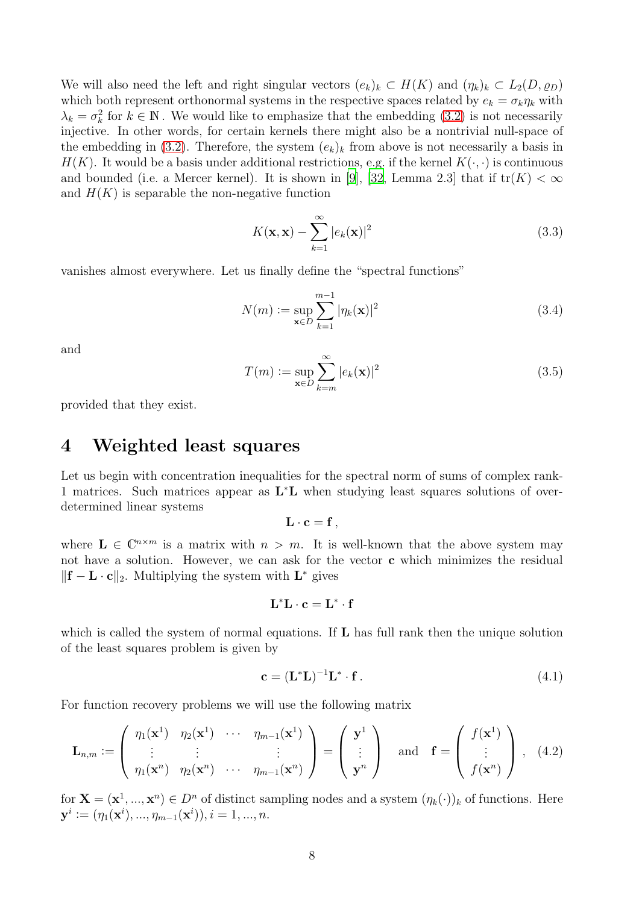We will also need the left and right singular vectors  $(e_k)_k \subset H(K)$  and  $(\eta_k)_k \subset L_2(D, \varrho_D)$ which both represent orthonormal systems in the respective spaces related by  $e_k = \sigma_k \eta_k$  with  $\lambda_k = \sigma_k^2$  for  $k \in \mathbb{N}$ . We would like to emphasize that the embedding [\(3.2\)](#page-6-1) is not necessarily injective. In other words, for certain kernels there might also be a nontrivial null-space of the embedding in [\(3.2\)](#page-6-1). Therefore, the system  $(e_k)_k$  from above is not necessarily a basis in  $H(K)$ . It would be a basis under additional restrictions, e.g. if the kernel  $K(\cdot, \cdot)$  is continuous and bounded (i.e. a Mercer kernel). It is shown in [\[9](#page-18-16)], [\[32,](#page-19-10) Lemma 2.3] that if  $tr(K) < \infty$ and  $H(K)$  is separable the non-negative function

<span id="page-7-2"></span>
$$
K(\mathbf{x}, \mathbf{x}) - \sum_{k=1}^{\infty} |e_k(\mathbf{x})|^2
$$
\n(3.3)

vanishes almost everywhere. Let us finally define the "spectral functions"

$$
N(m) := \sup_{\mathbf{x} \in D} \sum_{k=1}^{m-1} |\eta_k(\mathbf{x})|^2
$$
 (3.4)

and

$$
T(m) := \sup_{\mathbf{x} \in D} \sum_{k=m}^{\infty} |e_k(\mathbf{x})|^2
$$
\n(3.5)

provided that they exist.

### 4 Weighted least squares

Let us begin with concentration inequalities for the spectral norm of sums of complex rank-1 matrices. Such matrices appear as  $L^*L$  when studying least squares solutions of overdetermined linear systems

$$
\mathbf{L}\cdot\mathbf{c}=\mathbf{f}\,,
$$

where  $\mathbf{L} \in \mathbb{C}^{n \times m}$  is a matrix with  $n > m$ . It is well-known that the above system may not have a solution. However, we can ask for the vector c which minimizes the residual  $\|\mathbf{f} - \mathbf{L} \cdot \mathbf{c}\|_2$ . Multiplying the system with  $\mathbf{L}^*$  gives

$$
\mathbf{L}^{\ast}\mathbf{L}\cdot\mathbf{c}=\mathbf{L}^{\ast}\cdot\mathbf{f}
$$

which is called the system of normal equations. If  $L$  has full rank then the unique solution of the least squares problem is given by

<span id="page-7-1"></span><span id="page-7-0"></span>
$$
\mathbf{c} = (\mathbf{L}^* \mathbf{L})^{-1} \mathbf{L}^* \cdot \mathbf{f} \,. \tag{4.1}
$$

For function recovery problems we will use the following matrix

$$
\mathbf{L}_{n,m} := \left( \begin{array}{ccc} \eta_1(\mathbf{x}^1) & \eta_2(\mathbf{x}^1) & \cdots & \eta_{m-1}(\mathbf{x}^1) \\ \vdots & \vdots & \vdots \\ \eta_1(\mathbf{x}^n) & \eta_2(\mathbf{x}^n) & \cdots & \eta_{m-1}(\mathbf{x}^n) \end{array} \right) = \left( \begin{array}{c} \mathbf{y}^1 \\ \vdots \\ \mathbf{y}^n \end{array} \right) \quad \text{and} \quad \mathbf{f} = \left( \begin{array}{c} f(\mathbf{x}^1) \\ \vdots \\ f(\mathbf{x}^n) \end{array} \right), \tag{4.2}
$$

for  $\mathbf{X} = (\mathbf{x}^1, ..., \mathbf{x}^n) \in D^n$  of distinct sampling nodes and a system  $(\eta_k(\cdot))_k$  of functions. Here  $y^i := (\eta_1(\mathbf{x}^i), ..., \eta_{m-1}(\mathbf{x}^i)), i = 1, ..., n.$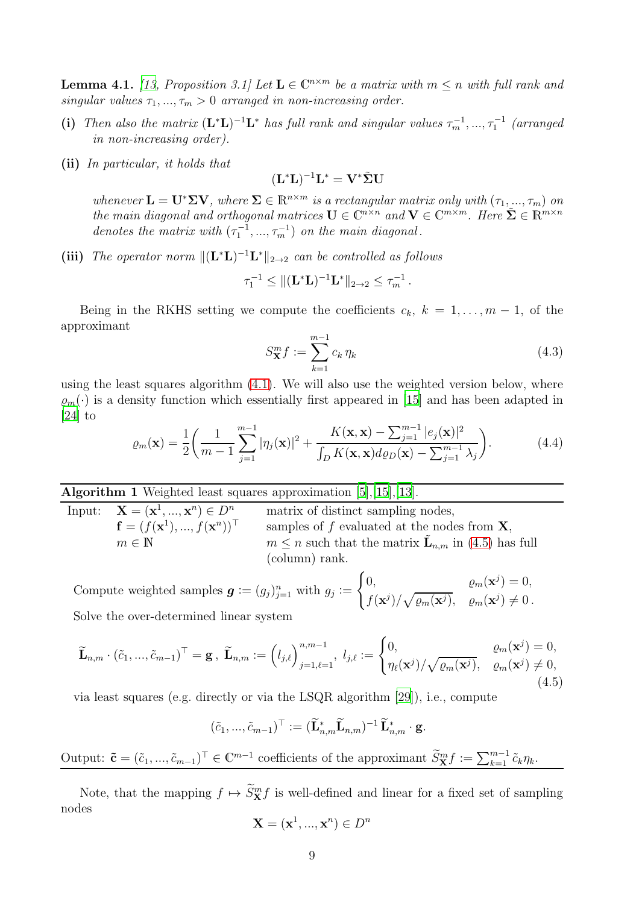<span id="page-8-2"></span>**Lemma 4.1.** *[\[13,](#page-18-4) Proposition 3.1]* Let  $L \in \mathbb{C}^{n \times m}$  be a matrix with  $m \leq n$  with full rank and *singular values*  $\tau_1, ..., \tau_m > 0$  *arranged in non-increasing order.* 

- (i) Then also the matrix  $(L^*L)^{-1}L^*$  has full rank and singular values  $\tau_m^{-1}, ..., \tau_1^{-1}$  (arranged *in non-increasing order).*
- (ii) *In particular, it holds that*

$$
(\mathbf{L}^{\ast}\mathbf{L})^{-1}\mathbf{L}^{\ast}=\mathbf{V}^{\ast}\tilde{\mathbf{\Sigma}}\mathbf{U}
$$

 $whenever \mathbf{L} = \mathbf{U}^* \Sigma \mathbf{V}$ , where  $\Sigma \in \mathbb{R}^{n \times m}$  *is a rectangular matrix only with*  $(\tau_1, \ldots, \tau_m)$  *on the main diagonal and orthogonal matrices*  $\mathbf{U} \in \mathbb{C}^{n \times n}$  *and*  $\mathbf{V} \in \mathbb{C}^{m \times m}$ *. Here*  $\tilde{\mathbf{\Sigma}} \in \mathbb{R}^{m \times n}$ *denotes the matrix with*  $(\tau_1^{-1}, ..., \tau_m^{-1})$  *on the main diagonal.* 

(iii) The operator norm  $\|(\mathbf{L}^*\mathbf{L})^{-1}\mathbf{L}^*\|_{2\to 2}$  can be controlled as follows

$$
\tau_1^{-1} \leq ||(\mathbf{L}^* \mathbf{L})^{-1} \mathbf{L}^*||_{2 \to 2} \leq \tau_m^{-1}.
$$

Being in the RKHS setting we compute the coefficients  $c_k$ ,  $k = 1, \ldots, m-1$ , of the approximant

$$
S_{\mathbf{X}}^m f := \sum_{k=1}^{m-1} c_k \, \eta_k \tag{4.3}
$$

using the least squares algorithm [\(4.1\)](#page-7-0). We will also use the weighted version below, where  $\rho_m(\cdot)$  is a density function which essentially first appeared in [\[15](#page-18-3)] and has been adapted in  $[24]$  to

<span id="page-8-1"></span>
$$
\varrho_m(\mathbf{x}) = \frac{1}{2} \left( \frac{1}{m-1} \sum_{j=1}^{m-1} |\eta_j(\mathbf{x})|^2 + \frac{K(\mathbf{x}, \mathbf{x}) - \sum_{j=1}^{m-1} |e_j(\mathbf{x})|^2}{\int_D K(\mathbf{x}, \mathbf{x}) d\varrho_D(\mathbf{x}) - \sum_{j=1}^{m-1} \lambda_j} \right). \tag{4.4}
$$

### Algorithm 1 Weighted least squares approximation [\[5\]](#page-18-17),[\[15\]](#page-18-3),[\[13](#page-18-4)].

| Input: $\mathbf{X} = (\mathbf{x}^1, , \mathbf{x}^n) \in D^n$ | matrix of distinct sampling nodes,                                   |
|--------------------------------------------------------------|----------------------------------------------------------------------|
| ${\bf f} = (f({\bf x}^1),,f({\bf x}^n))^{\top}$              | samples of f evaluated at the nodes from $X$ ,                       |
| $m \in \mathbb{N}$                                           | $m \leq n$ such that the matrix $\mathbf{L}_{n,m}$ in (4.5) has full |
|                                                              | (column) rank.                                                       |

Compute weighted samples  $g := (g_j)_{j=1}^n$  with  $g_j :=$  $\int 0, \qquad \qquad \varrho_m(\mathbf{x}^j) = 0,$  $f(\mathbf{x}^j)/\sqrt{\varrho_m(\mathbf{x}^j)}, \quad \varrho_m(\mathbf{x}^j) \neq 0$ . Solve the over-determined linear system

$$
\widetilde{\mathbf{L}}_{n,m} \cdot (\widetilde{c}_1, ..., \widetilde{c}_{m-1})^{\top} = \mathbf{g}, \ \widetilde{\mathbf{L}}_{n,m} := (l_{j,\ell})_{j=1,\ell=1}^{n,m-1}, \ l_{j,\ell} := \begin{cases} 0, & \ell_m(\mathbf{x}^j) = 0, \\ \eta_{\ell}(\mathbf{x}^j) / \sqrt{\ell_m(\mathbf{x}^j)}, & \ell_m(\mathbf{x}^j) \neq 0, \\ 0. \end{cases}
$$
\n(4.5)

via least squares (e.g. directly or via the LSQR algorithm [\[29](#page-19-11)]), i.e., compute

<span id="page-8-0"></span>
$$
(\tilde{c}_1, ..., \tilde{c}_{m-1})^{\top} := (\widetilde{\mathbf{L}}_{n,m}^{\ast} \widetilde{\mathbf{L}}_{n,m})^{-1} \widetilde{\mathbf{L}}_{n,m}^{\ast} \cdot \mathbf{g}.
$$

Output:  $\tilde{\mathbf{c}} = (\tilde{c}_1, ..., \tilde{c}_{m-1})^\top \in \mathbb{C}^{m-1}$  coefficients of the approximant  $\widetilde{S}_{\mathbf{X}}^m f := \sum_{k=1}^{m-1} \tilde{c}_k \eta_k$ .

Note, that the mapping  $f \mapsto \overline{S_{\mathbf{x}}^m} f$  is well-defined and linear for a fixed set of sampling nodes

$$
\mathbf{X} = (\mathbf{x}^1, ..., \mathbf{x}^n) \in D^n
$$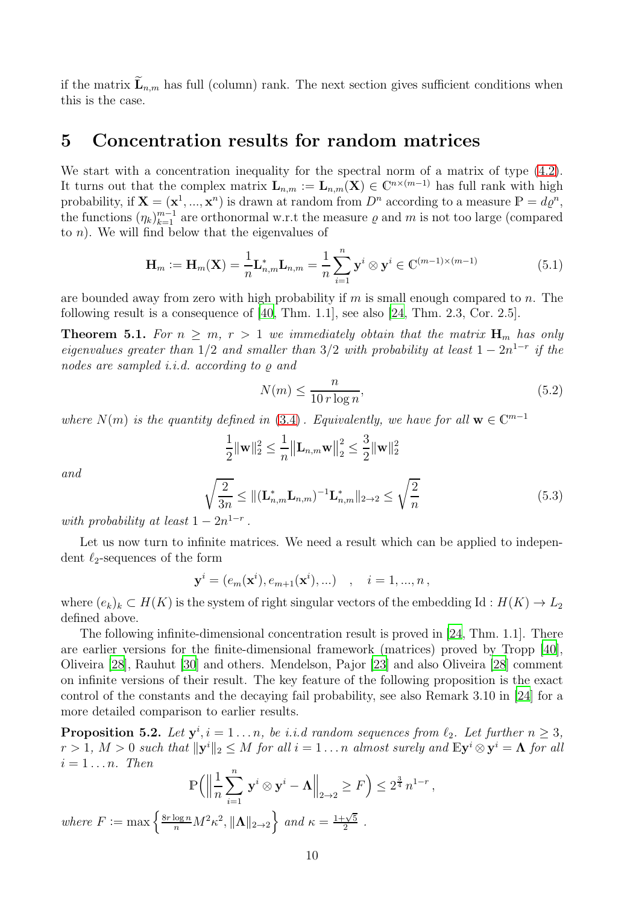if the matrix  $\mathbf{L}_{n,m}$  has full (column) rank. The next section gives sufficient conditions when this is the case.

### 5 Concentration results for random matrices

We start with a concentration inequality for the spectral norm of a matrix of type  $(4.2)$ . It turns out that the complex matrix  $\mathbf{L}_{n,m} := \mathbf{L}_{n,m}(\mathbf{X}) \in \mathbb{C}^{n \times (m-1)}$  has full rank with high probability, if  $\mathbf{X} = (\mathbf{x}^1, ..., \mathbf{x}^n)$  is drawn at random from  $D^n$  according to a measure  $P = d\varrho^n$ , the functions  $(\eta_k)_{k=1}^{m-1}$  are orthonormal w.r.t the measure  $\varrho$  and m is not too large (compared to  $n$ ). We will find below that the eigenvalues of

$$
\mathbf{H}_m := \mathbf{H}_m(\mathbf{X}) = \frac{1}{n} \mathbf{L}_{n,m}^* \mathbf{L}_{n,m} = \frac{1}{n} \sum_{i=1}^n \mathbf{y}^i \otimes \mathbf{y}^i \in \mathbb{C}^{(m-1)\times(m-1)}
$$
(5.1)

are bounded away from zero with high probability if  $m$  is small enough compared to  $n$ . The following result is a consequence of [\[40,](#page-19-12) Thm. 1.1], see also [\[24](#page-19-5), Thm. 2.3, Cor. 2.5].

<span id="page-9-0"></span>**Theorem 5.1.** For  $n \geq m$ ,  $r > 1$  we immediately obtain that the matrix  $H_m$  has only *eigenvalues greater than*  $1/2$  *and smaller than*  $3/2$  *with probability at least*  $1 - 2n^{1-r}$  *if the nodes are sampled i.i.d. according to* ̺ *and*

$$
N(m) \le \frac{n}{10 \, r \log n},\tag{5.2}
$$

*where*  $N(m)$  *is the quantity defined in* [\(3.4\)](#page-7-2)*. Equivalently, we have for all*  $\mathbf{w} \in \mathbb{C}^{m-1}$ 

$$
\frac{1}{2} \|\mathbf{w}\|_{2}^{2} \leq \frac{1}{n} \|\mathbf{L}_{n,m}\mathbf{w}\|_{2}^{2} \leq \frac{3}{2} \|\mathbf{w}\|_{2}^{2}
$$

$$
\sqrt{\frac{2}{3n}} \leq \|(\mathbf{L}_{n,m}^{*}\mathbf{L}_{n,m})^{-1}\mathbf{L}_{n,m}^{*}\|_{2\to 2} \leq \sqrt{\frac{2}{n}}
$$
(5.3)

*and*

with probability at least 
$$
1 - 2n^{1-r}
$$

Let us now turn to infinite matrices. We need a result which can be applied to independent  $\ell_2$ -sequences of the form

$$
\mathbf{y}^{i} = (e_m(\mathbf{x}^{i}), e_{m+1}(\mathbf{x}^{i}), \ldots) , i = 1, ..., n,
$$

where  $(e_k)_k \subset H(K)$  is the system of right singular vectors of the embedding Id:  $H(K) \to L_2$ defined above.

The following infinite-dimensional concentration result is proved in [\[24](#page-19-5), Thm. 1.1]. There are earlier versions for the finite-dimensional framework (matrices) proved by Tropp [\[40\]](#page-19-12), Oliveira [\[28\]](#page-19-13), Rauhut [\[30\]](#page-19-14) and others. Mendelson, Pajor [\[23\]](#page-19-15) and also Oliveira [\[28](#page-19-13)] comment on infinite versions of their result. The key feature of the following proposition is the exact control of the constants and the decaying fail probability, see also Remark 3.10 in [\[24\]](#page-19-5) for a more detailed comparison to earlier results.

<span id="page-9-1"></span>**Proposition 5.2.** Let  $y^i$ ,  $i = 1...n$ , be i.i.d random sequences from  $\ell_2$ . Let further  $n \geq 3$ ,  $r > 1, M > 0$  such that  $\|\mathbf{y}^i\|_2 \leq M$  for all  $i = 1...n$  almost surely and  $\mathbb{E} \mathbf{y}^i \otimes \mathbf{y}^i = \mathbf{\Lambda}$  for all  $i = 1 \ldots n$ . Then

$$
\mathbb{P}\Big(\Big\|\frac{1}{n}\sum_{i=1}^n \mathbf{y}^i \otimes \mathbf{y}^i - \mathbf{\Lambda}\Big\|_{2\to 2} \ge F\Big) \le 2^{\frac{3}{4}} n^{1-r},
$$
  
where  $F := \max\left\{\frac{8r\log n}{n} M^2 \kappa^2, \|\mathbf{\Lambda}\|_{2\to 2}\right\}$  and  $\kappa = \frac{1+\sqrt{5}}{2}$ .

*.*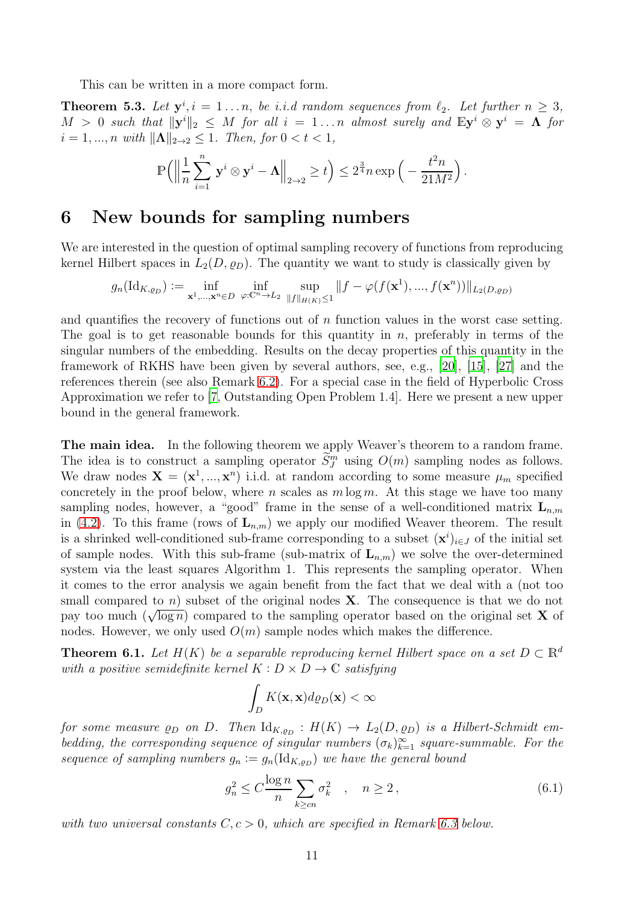This can be written in a more compact form.

**Theorem 5.3.** Let  $y^i$ ,  $i = 1...n$ , be *i.i.d random sequences from*  $\ell_2$ . Let further  $n \geq 3$ ,  $M > 0$  such that  $\|\mathbf{y}^i\|_2 \leq M$  for all  $i = 1...n$  almost surely and  $\mathbb{E}\mathbf{y}^i \otimes \mathbf{y}^i = \mathbf{\Lambda}$  for  $i = 1, ..., n$  *with*  $\|\mathbf{\Lambda}\|_{2 \to 2} \leq 1$ *. Then, for*  $0 < t < 1$ *,* 

$$
\mathbb{P}\Big(\Big\|\frac{1}{n}\sum_{i=1}^n\,\mathbf{y}^i\otimes\mathbf{y}^i-\mathbf{\Lambda}\Big\|_{2\to 2}\geq t\Big)\leq 2^{\frac{3}{4}}n\exp\Big(-\frac{t^2n}{21M^2}\Big)\,.
$$

### 6 New bounds for sampling numbers

We are interested in the question of optimal sampling recovery of functions from reproducing kernel Hilbert spaces in  $L_2(D, \rho_D)$ . The quantity we want to study is classically given by

$$
g_n(\mathrm{Id}_{K,\varrho_D}) := \inf_{\mathbf{x}^1,\dots,\mathbf{x}^n \in D} \inf_{\varphi: \mathbb{C}^n \to L_2} \sup_{\|f\|_{H(K)} \le 1} \|f - \varphi(f(\mathbf{x}^1),...,f(\mathbf{x}^n))\|_{L_2(D,\varrho_D)}
$$

and quantifies the recovery of functions out of  $n$  function values in the worst case setting. The goal is to get reasonable bounds for this quantity in n, preferably in terms of the singular numbers of the embedding. Results on the decay properties of this quantity in the framework of RKHS have been given by several authors, see, e.g., [\[20](#page-18-18)], [\[15\]](#page-18-3), [\[27](#page-19-16)] and the references therein (see also Remark [6.2\)](#page-12-0). For a special case in the field of Hyperbolic Cross Approximation we refer to [\[7](#page-18-0), Outstanding Open Problem 1.4]. Here we present a new upper bound in the general framework.

The main idea. In the following theorem we apply Weaver's theorem to a random frame. The idea is to construct a sampling operator  $\tilde{S}_J^m$  using  $O(m)$  sampling nodes as follows. We draw nodes  $\mathbf{X} = (\mathbf{x}^1, ..., \mathbf{x}^n)$  i.i.d. at random according to some measure  $\mu_m$  specified concretely in the proof below, where n scales as  $m \log m$ . At this stage we have too many sampling nodes, however, a "good" frame in the sense of a well-conditioned matrix  $\mathbf{L}_{n,m}$ in [\(4.2\)](#page-7-1). To this frame (rows of  $\mathbf{L}_{n,m}$ ) we apply our modified Weaver theorem. The result is a shrinked well-conditioned sub-frame corresponding to a subset  $(\mathbf{x}^i)_{i \in J}$  of the initial set of sample nodes. With this sub-frame (sub-matrix of  $L_{n,m}$ ) we solve the over-determined system via the least squares Algorithm 1. This represents the sampling operator. When it comes to the error analysis we again benefit from the fact that we deal with a (not too small compared to  $n$ ) subset of the original nodes **X**. The consequence is that we do not pay too much  $(\sqrt{\log n})$  compared to the sampling operator based on the original set **X** of nodes. However, we only used  $O(m)$  sample nodes which makes the difference.

<span id="page-10-0"></span>**Theorem 6.1.** *Let*  $H(K)$  *be a separable reproducing kernel Hilbert space on a set*  $D \subset \mathbb{R}^d$ *with a positive semidefinite kernel*  $K: D \times D \rightarrow \mathbb{C}$  *satisfying* 

<span id="page-10-1"></span>
$$
\int_D K(\mathbf{x}, \mathbf{x}) d\varrho_D(\mathbf{x}) < \infty
$$

*for some measure*  $\rho_D$  *on*  $D$ . Then  $\mathrm{Id}_{K,\rho_D}: H(K) \to L_2(D,\rho_D)$  *is a Hilbert-Schmidt em*bedding, the corresponding sequence of singular numbers  $(\sigma_k)_{k=1}^{\infty}$  square-summable. For the *sequence of sampling numbers*  $g_n := g_n(\mathrm{Id}_{K,\varrho_D})$  *we have the general bound* 

$$
g_n^2 \le C \frac{\log n}{n} \sum_{k \ge cn} \sigma_k^2 \quad , \quad n \ge 2 \,, \tag{6.1}
$$

*with two universal constants*  $C, c > 0$ *, which are specified in Remark* [6.3](#page-13-0) *below.*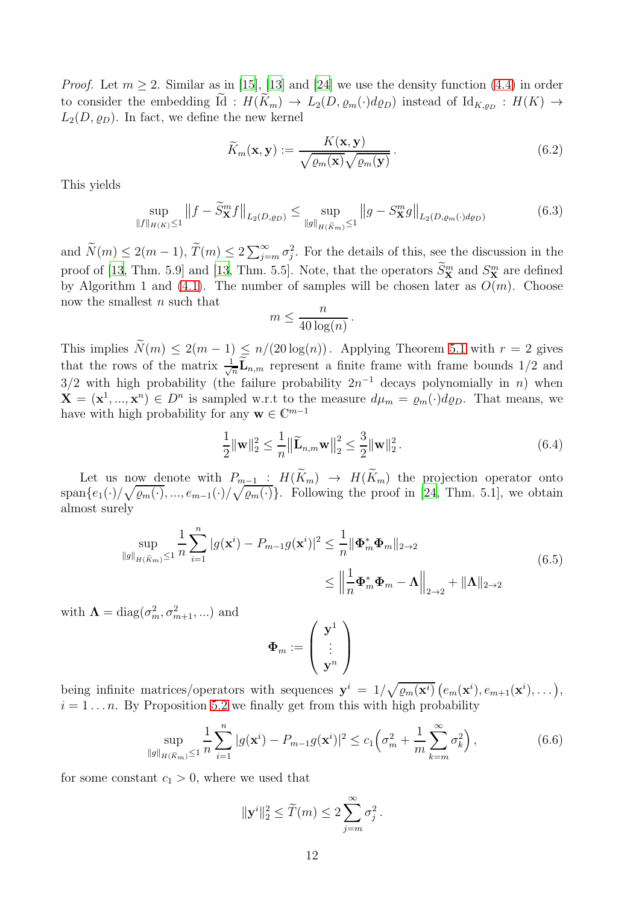*Proof.* Let  $m \geq 2$ . Similar as in [\[15](#page-18-3)], [\[13](#page-18-4)] and [\[24\]](#page-19-5) we use the density function [\(4.4\)](#page-8-1) in order to consider the embedding Id:  $H(K_m) \to L_2(D, \varrho_m(\cdot)d\varrho_D)$  instead of  $\mathrm{Id}_{K,\varrho_D}: H(K) \to$  $L_2(D, \rho_D)$ . In fact, we define the new kernel

$$
\widetilde{K}_m(\mathbf{x}, \mathbf{y}) := \frac{K(\mathbf{x}, \mathbf{y})}{\sqrt{\varrho_m(\mathbf{x})} \sqrt{\varrho_m(\mathbf{y})}}.
$$
\n(6.2)

This yields

<span id="page-11-2"></span>
$$
\sup_{\|f\|_{H(K)}\le 1} \|f - \widetilde{S}_{\mathbf{X}}^m f\|_{L_2(D,\varrho_D)} \le \sup_{\|g\|_{H(\widetilde{K}_m)}\le 1} \|g - S_{\mathbf{X}}^m g\|_{L_2(D,\varrho_m(\cdot)d\varrho_D)}
$$
(6.3)

and  $\widetilde{N}(m) \leq 2(m-1)$ ,  $\widetilde{T}(m) \leq 2 \sum_{j=m}^{\infty} \sigma_j^2$ . For the details of this, see the discussion in the proof of [\[13](#page-18-4), Thm. 5.9] and [13, Thm. 5.5]. Note, that the operators  $S_{\mathbf{X}}^{m}$  and  $S_{\mathbf{X}}^{m}$  are defined by Algorithm 1 and [\(4.1\)](#page-7-0). The number of samples will be chosen later as  $O(m)$ . Choose now the smallest n such that

<span id="page-11-0"></span>
$$
m \le \frac{n}{40\log(n)}\,.
$$

This implies  $\widetilde{N}(m) \leq 2(m-1) \leq n/(20 \log(n))$ . Applying Theorem [5.1](#page-9-0) with  $r = 2$  gives that the rows of the matrix  $\frac{1}{\sqrt{2}}$  $\frac{1}{n}$ **L**<sub>n,m</sub> represent a finite frame with frame bounds 1/2 and  $3/2$  with high probability (the failure probability  $2n^{-1}$  decays polynomially in n) when  $\mathbf{X} = (\mathbf{x}^1, ..., \mathbf{x}^n) \in D^n$  is sampled w.r.t to the measure  $d\mu_m = \varrho_m(\cdot)d\varrho_D$ . That means, we have with high probability for any  $\mathbf{w} \in \mathbb{C}^{m-1}$ 

$$
\frac{1}{2} \|\mathbf{w}\|_{2}^{2} \le \frac{1}{n} \left\|\widetilde{\mathbf{L}}_{n,m} \mathbf{w}\right\|_{2}^{2} \le \frac{3}{2} \|\mathbf{w}\|_{2}^{2}.
$$
\n(6.4)

Let us now denote with  $P_{m-1}: H(K_m) \to H(K_m)$  the projection operator onto  $\text{span}\{e_1(\cdot)/\sqrt{\varrho_m(\cdot)},...,e_{m-1}(\cdot)/\sqrt{\varrho_m(\cdot)}\}.$  Following the proof in [\[24](#page-19-5), Thm. 5.1], we obtain almost surely

$$
\sup_{\|g\|_{H(\widetilde{K}_{m})}\leq 1} \frac{1}{n} \sum_{i=1}^{n} |g(\mathbf{x}^{i}) - P_{m-1}g(\mathbf{x}^{i})|^{2} \leq \frac{1}{n} \|\mathbf{\Phi}_{m}^{*}\mathbf{\Phi}_{m}\|_{2\to 2}
$$
\n
$$
\leq \left\|\frac{1}{n}\mathbf{\Phi}_{m}^{*}\mathbf{\Phi}_{m} - \mathbf{\Lambda}\right\|_{2\to 2} + \|\mathbf{\Lambda}\|_{2\to 2}
$$
\n(6.5)

with  $\Lambda = \text{diag}(\sigma_m^2, \sigma_{m+1}^2, \ldots)$  and

<span id="page-11-1"></span>
$$
\Phi_m:=\left(\begin{array}{c} {\bf y}^1\\ \vdots \\ {\bf y}^n \end{array}\right)
$$

being infinite matrices/operators with sequences  $y^i = 1/\sqrt{\varrho_m(x^i)} \left(e_m(x^i), e_{m+1}(x^i), \dots\right),$  $i = 1 \dots n$ . By Proposition [5.2](#page-9-1) we finally get from this with high probability

$$
\sup_{\|g\|_{H(\widetilde{K}_m)}\leq 1} \frac{1}{n} \sum_{i=1}^n |g(\mathbf{x}^i) - P_{m-1}g(\mathbf{x}^i)|^2 \leq c_1 \left(\sigma_m^2 + \frac{1}{m} \sum_{k=m}^\infty \sigma_k^2\right),\tag{6.6}
$$

for some constant  $c_1 > 0$ , where we used that

$$
\|\mathbf{y}^i\|_2^2 \le \widetilde{T}(m) \le 2\sum_{j=m}^{\infty} \sigma_j^2.
$$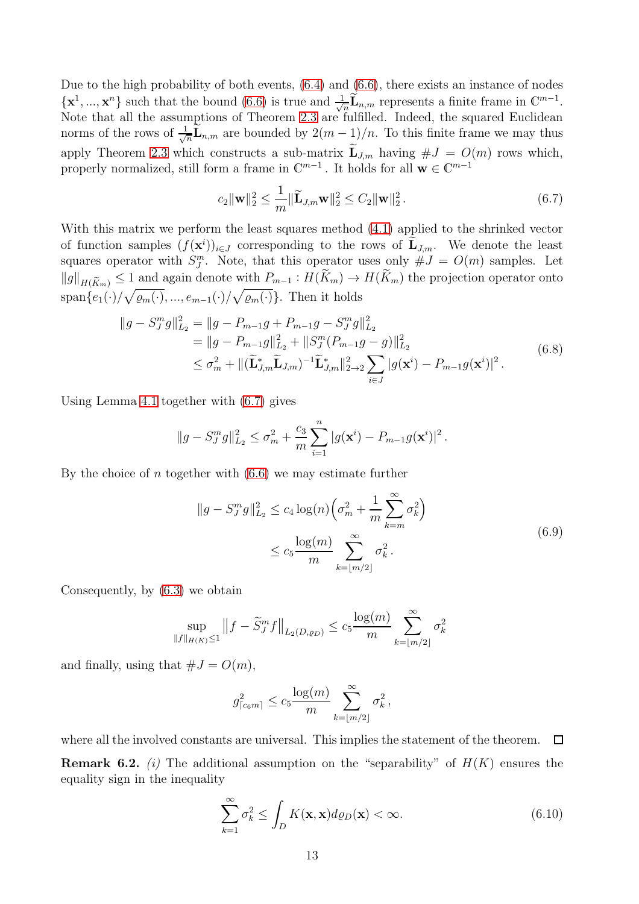Due to the high probability of both events, [\(6.4\)](#page-11-0) and [\(6.6\)](#page-11-1), there exists an instance of nodes  $\{\mathbf x^1, ..., \mathbf x^n\}$  such that the bound  $(6.6)$  is true and  $\frac{1}{\sqrt{2}}$  $\frac{1}{n}\widetilde{\mathbf{L}}_{n,m}$  represents a finite frame in  $\mathbb{C}^{m-1}$ . Note that all the assumptions of Theorem [2.3](#page-4-0) are fulfilled. Indeed, the squared Euclidean norms of the rows of  $\frac{1}{\sqrt{6}}$  $\frac{1}{n}$ **L**<sub>n,m</sub> are bounded by  $2(m-1)/n$ . To this finite frame we may thus apply Theorem [2.3](#page-4-0) which constructs a sub-matrix  $\widetilde{\mathbf{L}}_{J,m}$  having  $\#J = O(m)$  rows which, properly normalized, still form a frame in  $\mathbb{C}^{m-1}$ . It holds for all  $\mathbf{w} \in \mathbb{C}^{m-1}$ 

<span id="page-12-1"></span>
$$
c_2 \|\mathbf{w}\|_2^2 \le \frac{1}{m} \|\widetilde{\mathbf{L}}_{J,m} \mathbf{w}\|_2^2 \le C_2 \|\mathbf{w}\|_2^2. \tag{6.7}
$$

With this matrix we perform the least squares method [\(4.1\)](#page-7-0) applied to the shrinked vector of function samples  $(f(\mathbf{x}^i))_{i\in J}$  corresponding to the rows of  $\mathbf{L}_{J,m}$ . We denote the least squares operator with  $S_{J}^{m}$ . Note, that this operator uses only  $\#J = O(m)$  samples. Let  $||g||_{H(\widetilde{K}_m)} \leq 1$  and again denote with  $P_{m-1}: H(K_m) \to H(K_m)$  the projection operator onto  $\text{span}\{e_1(\cdot)/\sqrt{\varrho_m(\cdot)},...,e_{m-1}(\cdot)/\sqrt{\varrho_m(\cdot)}\}.$  Then it holds

$$
\|g - S_J^m g\|_{L_2}^2 = \|g - P_{m-1}g + P_{m-1}g - S_J^m g\|_{L_2}^2
$$
  
\n
$$
= \|g - P_{m-1}g\|_{L_2}^2 + \|S_J^m (P_{m-1}g - g)\|_{L_2}^2
$$
  
\n
$$
\leq \sigma_m^2 + \|(\widetilde{\mathbf{L}}_{J,m}^* \widetilde{\mathbf{L}}_{J,m})^{-1} \widetilde{\mathbf{L}}_{J,m}^* \|_{2 \to 2}^2 \sum_{i \in J} |g(\mathbf{x}^i) - P_{m-1}g(\mathbf{x}^i)|^2.
$$
\n(6.8)

Using Lemma [4.1](#page-8-2) together with [\(6.7\)](#page-12-1) gives

$$
||g - S_J^m g||_{L_2}^2 \le \sigma_m^2 + \frac{c_3}{m} \sum_{i=1}^n |g(\mathbf{x}^i) - P_{m-1}g(\mathbf{x}^i)|^2.
$$

By the choice of n together with  $(6.6)$  we may estimate further

$$
||g - S_J^m g||_{L_2}^2 \le c_4 \log(n) \left(\sigma_m^2 + \frac{1}{m} \sum_{k=m}^{\infty} \sigma_k^2\right)
$$
  
 
$$
\le c_5 \frac{\log(m)}{m} \sum_{k=[m/2]}^{\infty} \sigma_k^2.
$$
 (6.9)

Consequently, by [\(6.3\)](#page-11-2) we obtain

$$
\sup_{\|f\|_{H(K)} \le 1} \|f - \widetilde{S}_J^m f\|_{L_2(D, \varrho_D)} \le c_5 \frac{\log(m)}{m} \sum_{k=\lfloor m/2 \rfloor}^{\infty} \sigma_k^2
$$

and finally, using that  $#J = O(m)$ ,

$$
g_{\lceil c_6 m \rceil}^2 \le c_5 \frac{\log(m)}{m} \sum_{k=\lfloor m/2 \rfloor}^{\infty} \sigma_k^2
$$
,

<span id="page-12-0"></span>where all the involved constants are universal. This implies the statement of the theorem.  $\Box$ **Remark 6.2.** *(i)* The additional assumption on the "separability" of  $H(K)$  ensures the equality sign in the inequality

<span id="page-12-2"></span>
$$
\sum_{k=1}^{\infty} \sigma_k^2 \le \int_D K(\mathbf{x}, \mathbf{x}) d\varrho_D(\mathbf{x}) < \infty.
$$
 (6.10)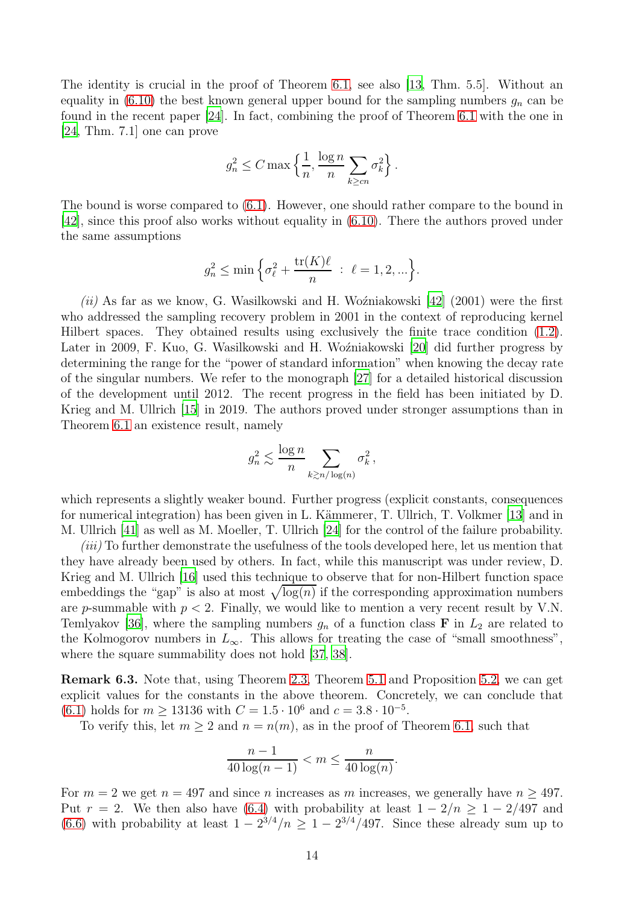The identity is crucial in the proof of Theorem [6.1,](#page-10-0) see also [\[13,](#page-18-4) Thm. 5.5]. Without an equality in [\(6.10\)](#page-12-2) the best known general upper bound for the sampling numbers  $g_n$  can be found in the recent paper [\[24\]](#page-19-5). In fact, combining the proof of Theorem [6.1](#page-10-0) with the one in [\[24,](#page-19-5) Thm. 7.1] one can prove

$$
g_n^2 \le C \max\left\{\frac{1}{n}, \frac{\log n}{n} \sum_{k \ge cn} \sigma_k^2\right\}.
$$

The bound is worse compared to [\(6.1\)](#page-10-1). However, one should rather compare to the bound in [\[42\]](#page-19-0), since this proof also works without equality in [\(6.10\)](#page-12-2). There the authors proved under the same assumptions

$$
g_n^2 \le \min\left\{\sigma_\ell^2 + \frac{\text{tr}(K)\ell}{n} \ : \ \ell = 1, 2, \ldots\right\}.
$$

*(ii)* As far as we know, G. Wasilkowski and H. Woźniakowski [\[42\]](#page-19-0) (2001) were the first who addressed the sampling recovery problem in 2001 in the context of reproducing kernel Hilbert spaces. They obtained results using exclusively the finite trace condition [\(1.2\)](#page-1-0). Later in 2009, F. Kuo, G. Wasilkowski and H. Woźniakowski [\[20](#page-18-18)] did further progress by determining the range for the "power of standard information" when knowing the decay rate of the singular numbers. We refer to the monograph [\[27\]](#page-19-16) for a detailed historical discussion of the development until 2012. The recent progress in the field has been initiated by D. Krieg and M. Ullrich [\[15](#page-18-3)] in 2019. The authors proved under stronger assumptions than in Theorem [6.1](#page-10-0) an existence result, namely

$$
g_n^2 \lesssim \frac{\log n}{n} \sum_{k \gtrsim n/\log(n)} \sigma_k^2,
$$

which represents a slightly weaker bound. Further progress (explicit constants, consequences for numerical integration) has been given in L. Kämmerer, T. Ullrich, T. Volkmer [\[13](#page-18-4)] and in M. Ullrich [\[41\]](#page-19-4) as well as M. Moeller, T. Ullrich [\[24](#page-19-5)] for the control of the failure probability.

*(iii)* To further demonstrate the usefulness of the tools developed here, let us mention that they have already been used by others. In fact, while this manuscript was under review, D. Krieg and M. Ullrich [\[16\]](#page-18-19) used this technique to observe that for non-Hilbert function space embeddings the "gap" is also at most  $\sqrt{\log(n)}$  if the corresponding approximation numbers are p-summable with  $p < 2$ . Finally, we would like to mention a very recent result by V.N. Temlyakov [\[36](#page-19-17)], where the sampling numbers  $g_n$  of a function class **F** in  $L_2$  are related to the Kolmogorov numbers in  $L_{\infty}$ . This allows for treating the case of "small smoothness", where the square summability does not hold [\[37,](#page-19-18) [38\]](#page-19-19).

<span id="page-13-0"></span>Remark 6.3. Note that, using Theorem [2.3,](#page-4-0) Theorem [5.1](#page-9-0) and Proposition [5.2,](#page-9-1) we can get explicit values for the constants in the above theorem. Concretely, we can conclude that  $(6.1)$  holds for  $m \ge 13136$  with  $C = 1.5 \cdot 10^6$  and  $c = 3.8 \cdot 10^{-5}$ .

To verify this, let  $m \geq 2$  and  $n = n(m)$ , as in the proof of Theorem [6.1,](#page-10-0) such that

$$
\frac{n-1}{40\log(n-1)} < m \le \frac{n}{40\log(n)}.
$$

For  $m = 2$  we get  $n = 497$  and since n increases as m increases, we generally have  $n \ge 497$ . Put  $r = 2$ . We then also have [\(6.4\)](#page-11-0) with probability at least  $1 - 2/n \ge 1 - 2/497$  and [\(6.6\)](#page-11-1) with probability at least  $1 - 2^{3/4}/n \ge 1 - 2^{3/4}/497$ . Since these already sum up to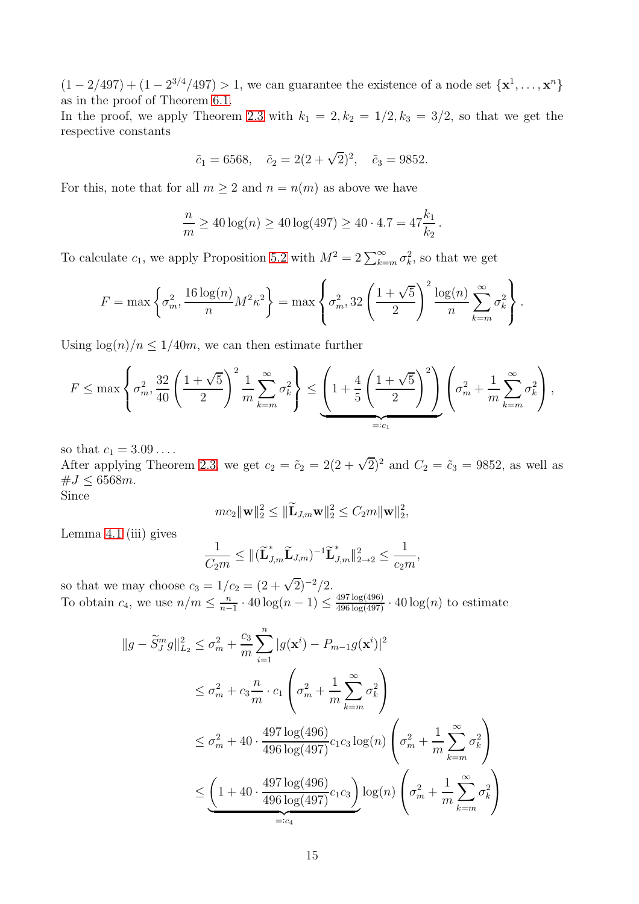$(1-2/497) + (1-2^{3/4}/497) > 1$ , we can guarantee the existence of a node set  $\{x^1, \ldots, x^n\}$ as in the proof of Theorem [6.1.](#page-10-0)

In the proof, we apply Theorem [2.3](#page-4-0) with  $k_1 = 2, k_2 = 1/2, k_3 = 3/2$ , so that we get the respective constants

$$
\tilde{c}_1 = 6568
$$
,  $\tilde{c}_2 = 2(2+\sqrt{2})^2$ ,  $\tilde{c}_3 = 9852$ .

For this, note that for all  $m \geq 2$  and  $n = n(m)$  as above we have

$$
\frac{n}{m} \ge 40 \log(n) \ge 40 \log(497) \ge 40 \cdot 4.7 = 47 \frac{k_1}{k_2}
$$

.

To calculate  $c_1$ , we apply Proposition [5.2](#page-9-1) with  $M^2 = 2 \sum_{k=m}^{\infty} \sigma_k^2$ , so that we get

$$
F = \max\left\{\sigma_m^2, \frac{16\log(n)}{n}M^2\kappa^2\right\} = \max\left\{\sigma_m^2, 32\left(\frac{1+\sqrt{5}}{2}\right)^2\frac{\log(n)}{n}\sum_{k=m}^{\infty}\sigma_k^2\right\}.
$$

Using  $\log(n)/n \leq 1/40m$ , we can then estimate further

$$
F \leq \max\left\{\sigma_m^2, \frac{32}{40}\left(\frac{1+\sqrt{5}}{2}\right)^2\frac{1}{m}\sum_{k=m}^{\infty}\sigma_k^2\right\} \leq \underbrace{\left(1+\frac{4}{5}\left(\frac{1+\sqrt{5}}{2}\right)^2\right)}_{=:c_1}\left(\sigma_m^2 + \frac{1}{m}\sum_{k=m}^{\infty}\sigma_k^2\right),
$$

so that  $c_1 = 3.09...$ 

After applying Theorem [2.3,](#page-4-0) we get  $c_2 = \tilde{c}_2 = 2(2 + \sqrt{2})^2$  and  $C_2 = \tilde{c}_3 = 9852$ , as well as  $\#J \leq 6568m$ . Since

$$
mc_2\|\mathbf{w}\|_2^2\leq \|\widetilde{\mathbf{L}}_{J,m}\mathbf{w}\|_2^2\leq C_2m\|\mathbf{w}\|_2^2,
$$

Lemma [4.1](#page-8-2) (iii) gives

$$
\frac{1}{C_2m} \leq \|(\widetilde{\mathbf{L}}_{J,m}^{\ast}\widetilde{\mathbf{L}}_{J,m})^{-1}\widetilde{\mathbf{L}}_{J,m}^{\ast}\|_{2\to 2}^2 \leq \frac{1}{c_2m},
$$

so that we may choose  $c_3 = 1/c_2 = (2 + \sqrt{2})^{-2}/2$ . To obtain  $c_4$ , we use  $n/m \leq \frac{n}{n-1}$  $\frac{n}{n-1} \cdot 40 \log(n-1) \le \frac{497 \log(496)}{496 \log(497)} \cdot 40 \log(n)$  to estimate

$$
||g - \widetilde{S}_J^m g||_{L_2}^2 \le \sigma_m^2 + \frac{c_3}{m} \sum_{i=1}^n |g(\mathbf{x}^i) - P_{m-1}g(\mathbf{x}^i)|^2
$$
  
\n
$$
\le \sigma_m^2 + c_3 \frac{n}{m} \cdot c_1 \left(\sigma_m^2 + \frac{1}{m} \sum_{k=m}^\infty \sigma_k^2\right)
$$
  
\n
$$
\le \sigma_m^2 + 40 \cdot \frac{497 \log(496)}{496 \log(497)} c_1 c_3 \log(n) \left(\sigma_m^2 + \frac{1}{m} \sum_{k=m}^\infty \sigma_k^2\right)
$$
  
\n
$$
\le \underbrace{\left(1 + 40 \cdot \frac{497 \log(496)}{496 \log(497)} c_1 c_3\right)}_{=: c_4} \log(n) \left(\sigma_m^2 + \frac{1}{m} \sum_{k=m}^\infty \sigma_k^2\right)
$$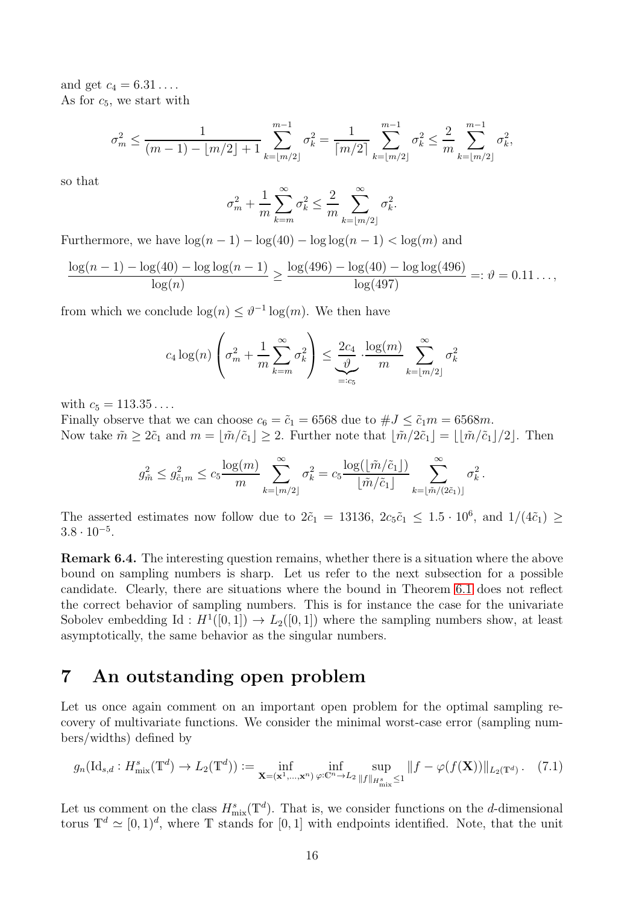and get  $c_4 = 6.31 \ldots$ As for  $c_5$ , we start with

$$
\sigma_m^2 \le \frac{1}{(m-1) - \lfloor m/2 \rfloor + 1} \sum_{k=\lfloor m/2 \rfloor}^{m-1} \sigma_k^2 = \frac{1}{\lceil m/2 \rceil} \sum_{k=\lfloor m/2 \rfloor}^{m-1} \sigma_k^2 \le \frac{2}{m} \sum_{k=\lfloor m/2 \rfloor}^{m-1} \sigma_k^2,
$$

so that

$$
\sigma_m^2 + \frac{1}{m} \sum_{k=m}^{\infty} \sigma_k^2 \le \frac{2}{m} \sum_{k=\lfloor m/2 \rfloor}^{\infty} \sigma_k^2.
$$

Furthermore, we have  $\log(n-1) - \log(40) - \log(\log(n-1)) < \log(m)$  and

$$
\frac{\log(n-1) - \log(40) - \log\log(n-1)}{\log(n)} \ge \frac{\log(496) - \log(40) - \log\log(496)}{\log(497)} =: \vartheta = 0.11\dots,
$$

from which we conclude  $\log(n) \leq \vartheta^{-1} \log(m)$ . We then have

$$
c_4 \log(n) \left(\sigma_m^2 + \frac{1}{m} \sum_{k=m}^{\infty} \sigma_k^2\right) \le \underbrace{\frac{2c_4}{\vartheta}}_{=:c_5} \cdot \frac{\log(m)}{m} \sum_{k=\lfloor m/2 \rfloor}^{\infty} \sigma_k^2
$$

with  $c_5 = 113.35...$ 

Finally observe that we can choose  $c_6 = \tilde{c}_1 = 6568$  due to  $\#J \leq \tilde{c}_1 m = 6568m$ . Now take  $\tilde{m} \geq 2\tilde{c}_1$  and  $m = \lfloor \tilde{m}/\tilde{c}_1 \rfloor \geq 2$ . Further note that  $\lfloor \tilde{m}/2\tilde{c}_1 \rfloor = \lfloor \lfloor \tilde{m}/\tilde{c}_1 \rfloor/2 \rfloor$ . Then

$$
g_{\tilde{m}}^2 \le g_{\tilde{c}_1 m}^2 \le c_5 \frac{\log(m)}{m} \sum_{k=\lfloor m/2 \rfloor}^{\infty} \sigma_k^2 = c_5 \frac{\log(\lfloor \tilde{m}/\tilde{c}_1 \rfloor)}{\lfloor \tilde{m}/\tilde{c}_1 \rfloor} \sum_{k=\lfloor \tilde{m}/(2\tilde{c}_1) \rfloor}^{\infty} \sigma_k^2
$$

.

The asserted estimates now follow due to  $2\tilde{c}_1 = 13136, 2c_5\tilde{c}_1 \leq 1.5 \cdot 10^6$ , and  $1/(4\tilde{c}_1) \geq$  $3.8 \cdot 10^{-5}$ .

<span id="page-15-2"></span>Remark 6.4. The interesting question remains, whether there is a situation where the above bound on sampling numbers is sharp. Let us refer to the next subsection for a possible candidate. Clearly, there are situations where the bound in Theorem [6.1](#page-10-0) does not reflect the correct behavior of sampling numbers. This is for instance the case for the univariate Sobolev embedding Id:  $H^1([0,1]) \to L_2([0,1])$  where the sampling numbers show, at least asymptotically, the same behavior as the singular numbers.

### <span id="page-15-0"></span>7 An outstanding open problem

Let us once again comment on an important open problem for the optimal sampling recovery of multivariate functions. We consider the minimal worst-case error (sampling numbers/widths) defined by

<span id="page-15-1"></span>
$$
g_n(\mathrm{Id}_{s,d}: H^s_{\mathrm{mix}}(\mathbb{T}^d) \to L_2(\mathbb{T}^d)) := \inf_{\mathbf{X} = (\mathbf{x}^1, \dots, \mathbf{x}^n)} \inf_{\varphi: \mathbb{C}^n \to L_2} \sup_{\|f\|_{H^s_{\mathrm{mix}}} \le 1} \|f - \varphi(f(\mathbf{X}))\|_{L_2(\mathbb{T}^d)}.
$$
 (7.1)

Let us comment on the class  $H_{\text{mix}}^s(\mathbb{T}^d)$ . That is, we consider functions on the d-dimensional torus  $\mathbb{T}^d \simeq [0,1]^d$ , where  $\mathbb T$  stands for  $[0,1]$  with endpoints identified. Note, that the unit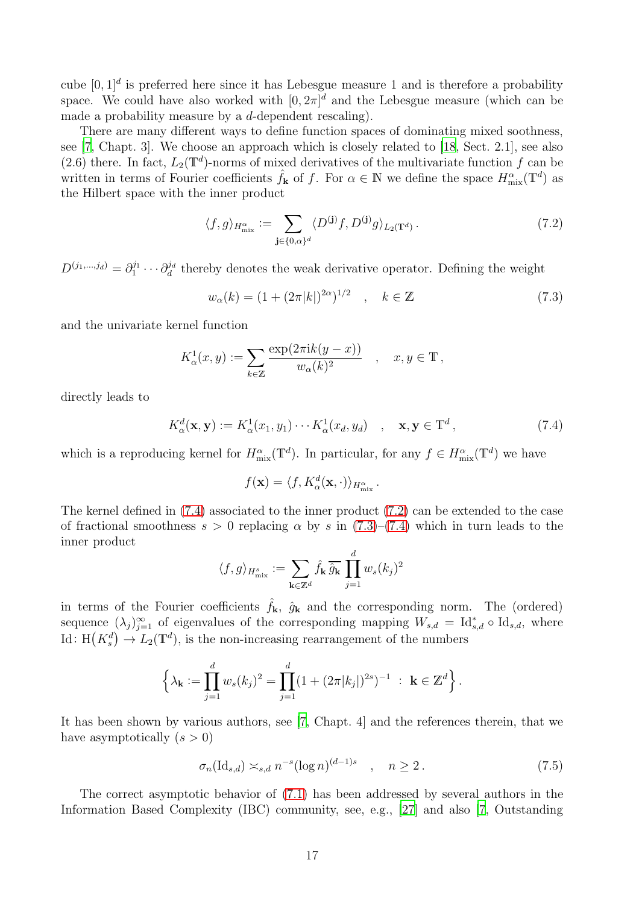cube  $[0, 1]^d$  is preferred here since it has Lebesgue measure 1 and is therefore a probability space. We could have also worked with  $[0, 2\pi]^d$  and the Lebesgue measure (which can be made a probability measure by a d-dependent rescaling).

There are many different ways to define function spaces of dominating mixed soothness, see [\[7,](#page-18-0) Chapt. 3]. We choose an approach which is closely related to [\[18,](#page-18-9) Sect. 2.1], see also (2.6) there. In fact,  $L_2(\mathbb{T}^d)$ -norms of mixed derivatives of the multivariate function f can be written in terms of Fourier coefficients  $\hat{f}_k$  of f. For  $\alpha \in \mathbb{N}$  we define the space  $H_{\text{mix}}^{\alpha}(\mathbb{T}^d)$  as the Hilbert space with the inner product

<span id="page-16-1"></span>
$$
\langle f, g \rangle_{H^{\alpha}_{\text{mix}}} := \sum_{\mathbf{j} \in \{0, \alpha\}^d} \langle D^{(\mathbf{j})} f, D^{(\mathbf{j})} g \rangle_{L_2(\mathbb{T}^d)}.
$$
 (7.2)

 $D^{(j_1,...,j_d)}=\partial_1^{j_1}$  $\partial_1^{j_1}\cdots\partial_d^{j_d}$  $\mathcal{G}_d^d$  thereby denotes the weak derivative operator. Defining the weight

<span id="page-16-2"></span>
$$
w_{\alpha}(k) = (1 + (2\pi |k|)^{2\alpha})^{1/2} \quad , \quad k \in \mathbb{Z}
$$
 (7.3)

and the univariate kernel function

$$
K^1_{\alpha}(x,y) := \sum_{k \in \mathbb{Z}} \frac{\exp(2\pi i k(y-x))}{w_{\alpha}(k)^2} \quad , \quad x, y \in \mathbb{T} \,,
$$

directly leads to

<span id="page-16-0"></span>
$$
K_{\alpha}^{d}(\mathbf{x}, \mathbf{y}) := K_{\alpha}^{1}(x_1, y_1) \cdots K_{\alpha}^{1}(x_d, y_d) \quad , \quad \mathbf{x}, \mathbf{y} \in \mathbb{T}^d \,, \tag{7.4}
$$

which is a reproducing kernel for  $H_{\text{mix}}^{\alpha}(\mathbb{T}^d)$ . In particular, for any  $f \in H_{\text{mix}}^{\alpha}(\mathbb{T}^d)$  we have

$$
f(\mathbf{x}) = \langle f, K_{\alpha}^d(\mathbf{x}, \cdot) \rangle_{H_{\text{mix}}^{\alpha}}.
$$

The kernel defined in [\(7.4\)](#page-16-0) associated to the inner product [\(7.2\)](#page-16-1) can be extended to the case of fractional smoothness  $s > 0$  replacing  $\alpha$  by s in  $(7.3)$ – $(7.4)$  which in turn leads to the inner product

$$
\langle f, g \rangle_{H^s_{\text{mix}}} := \sum_{\mathbf{k} \in \mathbb{Z}^d} \hat{f}_{\mathbf{k}} \, \overline{\hat{g}_{\mathbf{k}}} \, \prod_{j=1}^d w_s(k_j)^2
$$

in terms of the Fourier coefficients  $\hat{f}_{\mathbf{k}}$ ,  $\hat{g}_{\mathbf{k}}$  and the corresponding norm. The (ordered) sequence  $(\lambda_j)_{j=1}^{\infty}$  of eigenvalues of the corresponding mapping  $W_{s,d} = \mathrm{Id}_{s,d}^* \circ \mathrm{Id}_{s,d}$ , where Id:  $H(K_s^d) \to L_2(\mathbb{T}^d)$ , is the non-increasing rearrangement of the numbers

$$
\left\{\lambda_{\mathbf{k}} := \prod_{j=1}^d w_s(k_j)^2 = \prod_{j=1}^d (1 + (2\pi |k_j|)^{2s})^{-1} : \mathbf{k} \in \mathbb{Z}^d\right\}.
$$

It has been shown by various authors, see [\[7](#page-18-0), Chapt. 4] and the references therein, that we have asymptotically  $(s > 0)$ 

<span id="page-16-3"></span>
$$
\sigma_n(\mathrm{Id}_{s,d}) \asymp_{s,d} n^{-s} (\log n)^{(d-1)s} \quad , \quad n \ge 2. \tag{7.5}
$$

The correct asymptotic behavior of [\(7.1\)](#page-15-1) has been addressed by several authors in the Information Based Complexity (IBC) community, see, e.g., [\[27](#page-19-16)] and also [\[7](#page-18-0), Outstanding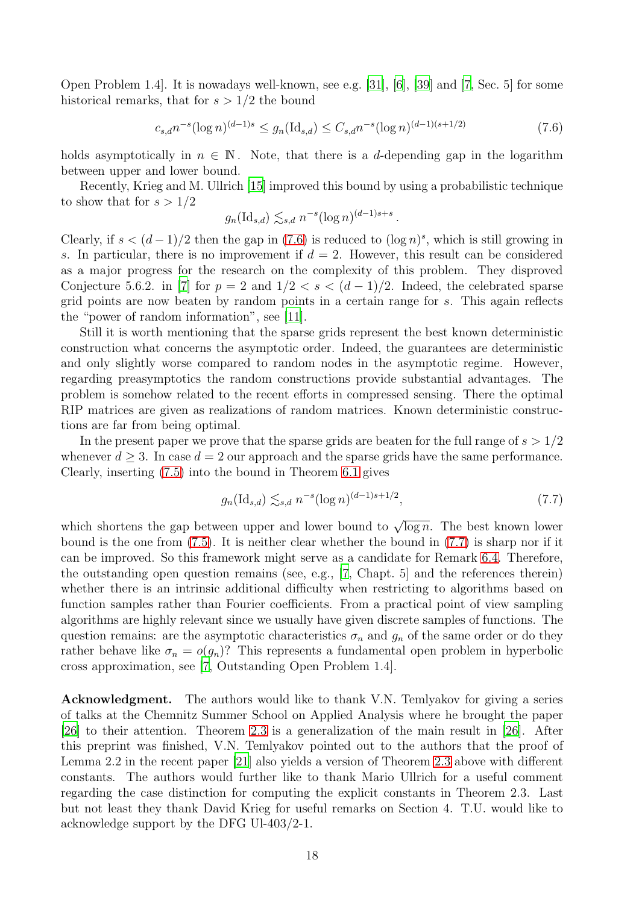Open Problem 1.4]. It is nowadays well-known, see e.g. [\[31\]](#page-19-7), [\[6\]](#page-18-7), [\[39\]](#page-19-20) and [\[7](#page-18-0), Sec. 5] for some historical remarks, that for  $s > 1/2$  the bound

$$
c_{s,d}n^{-s}(\log n)^{(d-1)s} \le g_n(\text{Id}_{s,d}) \le C_{s,d}n^{-s}(\log n)^{(d-1)(s+1/2)}\tag{7.6}
$$

holds asymptotically in  $n \in \mathbb{N}$ . Note, that there is a d-depending gap in the logarithm between upper and lower bound.

Recently, Krieg and M. Ullrich [\[15\]](#page-18-3) improved this bound by using a probabilistic technique to show that for  $s > 1/2$ 

<span id="page-17-0"></span>
$$
g_n(\mathrm{Id}_{s,d}) \lesssim_{s,d} n^{-s} (\log n)^{(d-1)s+s}.
$$

Clearly, if  $s < (d-1)/2$  then the gap in [\(7.6\)](#page-17-0) is reduced to  $(\log n)^s$ , which is still growing in s. In particular, there is no improvement if  $d = 2$ . However, this result can be considered as a major progress for the research on the complexity of this problem. They disproved Conjecture 5.6.2. in [\[7](#page-18-0)] for  $p = 2$  and  $1/2 < s < (d-1)/2$ . Indeed, the celebrated sparse grid points are now beaten by random points in a certain range for s. This again reflects the "power of random information", see [\[11](#page-18-20)].

Still it is worth mentioning that the sparse grids represent the best known deterministic construction what concerns the asymptotic order. Indeed, the guarantees are deterministic and only slightly worse compared to random nodes in the asymptotic regime. However, regarding preasymptotics the random constructions provide substantial advantages. The problem is somehow related to the recent efforts in compressed sensing. There the optimal RIP matrices are given as realizations of random matrices. Known deterministic constructions are far from being optimal.

In the present paper we prove that the sparse grids are beaten for the full range of  $s > 1/2$ whenever  $d \geq 3$ . In case  $d = 2$  our approach and the sparse grids have the same performance. Clearly, inserting [\(7.5\)](#page-16-3) into the bound in Theorem [6.1](#page-10-0) gives

<span id="page-17-1"></span>
$$
g_n(\text{Id}_{s,d}) \lesssim_{s,d} n^{-s} (\log n)^{(d-1)s+1/2},\tag{7.7}
$$

which shortens the gap between upper and lower bound to  $\sqrt{\log n}$ . The best known lower bound is the one from  $(7.5)$ . It is neither clear whether the bound in  $(7.7)$  is sharp nor if it can be improved. So this framework might serve as a candidate for Remark [6.4.](#page-15-2) Therefore, the outstanding open question remains (see, e.g., [\[7,](#page-18-0) Chapt. 5] and the references therein) whether there is an intrinsic additional difficulty when restricting to algorithms based on function samples rather than Fourier coefficients. From a practical point of view sampling algorithms are highly relevant since we usually have given discrete samples of functions. The question remains: are the asymptotic characteristics  $\sigma_n$  and  $g_n$  of the same order or do they rather behave like  $\sigma_n = o(g_n)$ ? This represents a fundamental open problem in hyperbolic cross approximation, see [\[7,](#page-18-0) Outstanding Open Problem 1.4].

Acknowledgment. The authors would like to thank V.N. Temlyakov for giving a series of talks at the Chemnitz Summer School on Applied Analysis where he brought the paper [\[26\]](#page-19-1) to their attention. Theorem [2.3](#page-4-0) is a generalization of the main result in [\[26\]](#page-19-1). After this preprint was finished, V.N. Temlyakov pointed out to the authors that the proof of Lemma 2.2 in the recent paper [\[21](#page-18-2)] also yields a version of Theorem [2.3](#page-4-0) above with different constants. The authors would further like to thank Mario Ullrich for a useful comment regarding the case distinction for computing the explicit constants in Theorem 2.3. Last but not least they thank David Krieg for useful remarks on Section 4. T.U. would like to acknowledge support by the DFG Ul-403/2-1.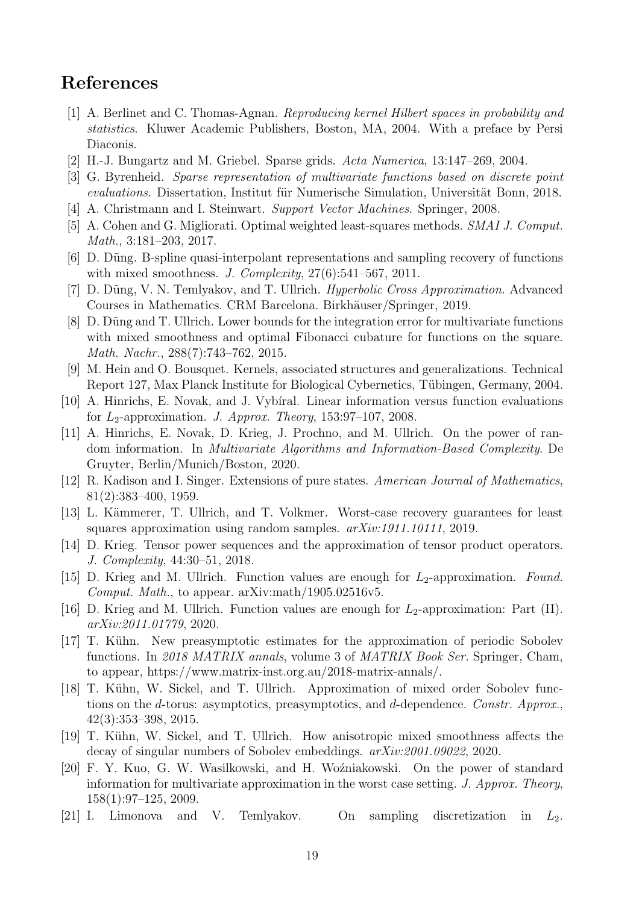## References

- <span id="page-18-14"></span>[1] A. Berlinet and C. Thomas-Agnan. *Reproducing kernel Hilbert spaces in probability and statistics*. Kluwer Academic Publishers, Boston, MA, 2004. With a preface by Persi Diaconis.
- <span id="page-18-5"></span>[2] H.-J. Bungartz and M. Griebel. Sparse grids. *Acta Numerica*, 13:147–269, 2004.
- <span id="page-18-8"></span>[3] G. Byrenheid. *Sparse representation of multivariate functions based on discrete point evaluations*. Dissertation, Institut für Numerische Simulation, Universität Bonn, 2018.
- <span id="page-18-15"></span>[4] A. Christmann and I. Steinwart. *Support Vector Machines*. Springer, 2008.
- <span id="page-18-17"></span>[5] A. Cohen and G. Migliorati. Optimal weighted least-squares methods. *SMAI J. Comput. Math.*, 3:181–203, 2017.
- <span id="page-18-7"></span>[6] D. D˜ung. B-spline quasi-interpolant representations and sampling recovery of functions with mixed smoothness. *J. Complexity*, 27(6):541–567, 2011.
- <span id="page-18-0"></span>[7] D. D˜ung, V. N. Temlyakov, and T. Ullrich. *Hyperbolic Cross Approximation*. Advanced Courses in Mathematics. CRM Barcelona. Birkhäuser/Springer, 2019.
- <span id="page-18-6"></span>[8] D. Düng and T. Ullrich. Lower bounds for the integration error for multivariate functions with mixed smoothness and optimal Fibonacci cubature for functions on the square. *Math. Nachr.*, 288(7):743–762, 2015.
- <span id="page-18-16"></span>[9] M. Hein and O. Bousquet. Kernels, associated structures and generalizations. Technical Report 127, Max Planck Institute for Biological Cybernetics, Tübingen, Germany, 2004.
- <span id="page-18-1"></span>[10] A. Hinrichs, E. Novak, and J. Vybiral. Linear information versus function evaluations for L2-approximation. *J. Approx. Theory*, 153:97–107, 2008.
- <span id="page-18-20"></span>[11] A. Hinrichs, E. Novak, D. Krieg, J. Prochno, and M. Ullrich. On the power of random information. In *Multivariate Algorithms and Information-Based Complexity*. De Gruyter, Berlin/Munich/Boston, 2020.
- <span id="page-18-13"></span>[12] R. Kadison and I. Singer. Extensions of pure states. *American Journal of Mathematics*, 81(2):383–400, 1959.
- <span id="page-18-4"></span>[13] L. Kämmerer, T. Ullrich, and T. Volkmer. Worst-case recovery guarantees for least squares approximation using random samples. *arXiv:1911.10111*, 2019.
- <span id="page-18-12"></span>[14] D. Krieg. Tensor power sequences and the approximation of tensor product operators. *J. Complexity*, 44:30–51, 2018.
- <span id="page-18-3"></span>[15] D. Krieg and M. Ullrich. Function values are enough for  $L_2$ -approximation. *Found. Comput. Math.*, to appear. arXiv:math/1905.02516v5.
- <span id="page-18-19"></span>[16] D. Krieg and M. Ullrich. Function values are enough for  $L_2$ -approximation: Part (II). *arXiv:2011.01779*, 2020.
- <span id="page-18-11"></span>[17] T. Kühn. New preasymptotic estimates for the approximation of periodic Sobolev functions. In *2018 MATRIX annals*, volume 3 of *MATRIX Book Ser.* Springer, Cham, to appear, https://www.matrix-inst.org.au/2018-matrix-annals/.
- <span id="page-18-9"></span>[18] T. Kühn, W. Sickel, and T. Ullrich. Approximation of mixed order Sobolev functions on the d-torus: asymptotics, preasymptotics, and d-dependence. *Constr. Approx.*, 42(3):353–398, 2015.
- <span id="page-18-10"></span>[19] T. Kühn, W. Sickel, and T. Ullrich. How anisotropic mixed smoothness affects the decay of singular numbers of Sobolev embeddings. *arXiv:2001.09022*, 2020.
- <span id="page-18-18"></span>[20] F. Y. Kuo, G. W. Wasilkowski, and H. Woźniakowski. On the power of standard information for multivariate approximation in the worst case setting. *J. Approx. Theory*, 158(1):97–125, 2009.
- <span id="page-18-2"></span>[21] I. Limonova and V. Temlyakov. On sampling discretization in  $L_2$ .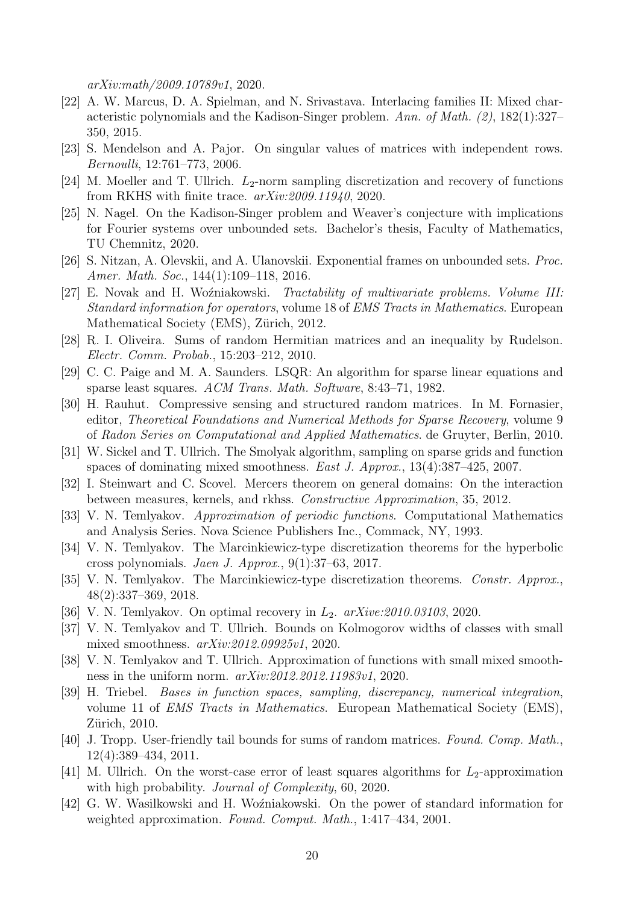*arXiv:math/2009.10789v1*, 2020.

- <span id="page-19-8"></span>[22] A. W. Marcus, D. A. Spielman, and N. Srivastava. Interlacing families II: Mixed characteristic polynomials and the Kadison-Singer problem. *Ann. of Math. (2)*, 182(1):327– 350, 2015.
- <span id="page-19-15"></span>[23] S. Mendelson and A. Pajor. On singular values of matrices with independent rows. *Bernoulli*, 12:761–773, 2006.
- <span id="page-19-5"></span>[24] M. Moeller and T. Ullrich.  $L_2$ -norm sampling discretization and recovery of functions from RKHS with finite trace. *arXiv:2009.11940*, 2020.
- <span id="page-19-9"></span>[25] N. Nagel. On the Kadison-Singer problem and Weaver's conjecture with implications for Fourier systems over unbounded sets. Bachelor's thesis, Faculty of Mathematics, TU Chemnitz, 2020.
- <span id="page-19-1"></span>[26] S. Nitzan, A. Olevskii, and A. Ulanovskii. Exponential frames on unbounded sets. *Proc. Amer. Math. Soc.*, 144(1):109–118, 2016.
- <span id="page-19-16"></span>[27] E. Novak and H. Woźniakowski. *Tractability of multivariate problems. Volume III: Standard information for operators*, volume 18 of *EMS Tracts in Mathematics*. European Mathematical Society (EMS), Zürich, 2012.
- <span id="page-19-13"></span>[28] R. I. Oliveira. Sums of random Hermitian matrices and an inequality by Rudelson. *Electr. Comm. Probab.*, 15:203–212, 2010.
- <span id="page-19-11"></span>[29] C. C. Paige and M. A. Saunders. LSQR: An algorithm for sparse linear equations and sparse least squares. *ACM Trans. Math. Software*, 8:43–71, 1982.
- <span id="page-19-14"></span>[30] H. Rauhut. Compressive sensing and structured random matrices. In M. Fornasier, editor, *Theoretical Foundations and Numerical Methods for Sparse Recovery*, volume 9 of *Radon Series on Computational and Applied Mathematics*. de Gruyter, Berlin, 2010.
- <span id="page-19-7"></span>[31] W. Sickel and T. Ullrich. The Smolyak algorithm, sampling on sparse grids and function spaces of dominating mixed smoothness. *East J. Approx.*, 13(4):387–425, 2007.
- <span id="page-19-10"></span>[32] I. Steinwart and C. Scovel. Mercers theorem on general domains: On the interaction between measures, kernels, and rkhss. *Constructive Approximation*, 35, 2012.
- <span id="page-19-6"></span>[33] V. N. Temlyakov. *Approximation of periodic functions*. Computational Mathematics and Analysis Series. Nova Science Publishers Inc., Commack, NY, 1993.
- <span id="page-19-3"></span>[34] V. N. Temlyakov. The Marcinkiewicz-type discretization theorems for the hyperbolic cross polynomials. *Jaen J. Approx.*, 9(1):37–63, 2017.
- <span id="page-19-2"></span>[35] V. N. Temlyakov. The Marcinkiewicz-type discretization theorems. *Constr. Approx.*, 48(2):337–369, 2018.
- <span id="page-19-17"></span>[36] V. N. Temlyakov. On optimal recovery in  $L_2$ .  $arXive:2010.03103, 2020$ .
- <span id="page-19-18"></span>[37] V. N. Temlyakov and T. Ullrich. Bounds on Kolmogorov widths of classes with small mixed smoothness. *arXiv:2012.09925v1*, 2020.
- <span id="page-19-19"></span>[38] V. N. Temlyakov and T. Ullrich. Approximation of functions with small mixed smoothness in the uniform norm. *arXiv:2012.2012.11983v1*, 2020.
- <span id="page-19-20"></span>[39] H. Triebel. *Bases in function spaces, sampling, discrepancy, numerical integration*, volume 11 of *EMS Tracts in Mathematics*. European Mathematical Society (EMS), Zürich, 2010.
- <span id="page-19-12"></span>[40] J. Tropp. User-friendly tail bounds for sums of random matrices. *Found. Comp. Math.*, 12(4):389–434, 2011.
- <span id="page-19-4"></span>[41] M. Ullrich. On the worst-case error of least squares algorithms for  $L_2$ -approximation with high probability. *Journal of Complexity*, 60, 2020.
- <span id="page-19-0"></span>[42] G. W. Wasilkowski and H. Woźniakowski. On the power of standard information for weighted approximation. *Found. Comput. Math.*, 1:417–434, 2001.